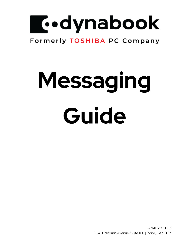

# Formerly TOSHIBA PC Company

# **Messaging Guide**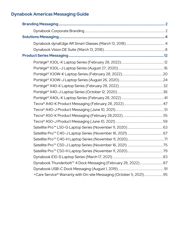| +Care Service® Warranty with On-site Messaging (October 5, 2021) 95 |  |
|---------------------------------------------------------------------|--|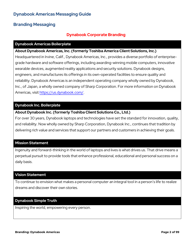## **Branding Messaging**

### **Dynabook Corporate Branding**

### **Dynabook Americas Boilerplate**

### **About Dynabook Americas, Inc. (formerly Toshiba America Client Solutions, Inc.)**

Headquartered in Irvine, Calif., Dynabook Americas, Inc., provides a diverse portfolio of enterprisegrade hardware and software offerings, including awarding-winning mobile computers, innovative wearable devices, augmented reality applications and security solutions. Dynabook designs, engineers, and manufactures its offerings in its own-operated facilities to ensure quality and reliability. Dynabook Americas is an independent operating company wholly owned by Dynabook, Inc., of Japan, a wholly owned company of Sharp Corporation. For more information on Dynabook Americas, visit [https://us.dynabook.com/.](https://c212.net/c/link/?t=0&l=en&o=3196390-1&h=1883755240&u=https%3A%2F%2Fus.dynabook.com%2F&a=https%3A%2F%2Fus.dynabook.com%2F)

### **Dynabook Inc. Boilerplate**

### **About Dynabook Inc. (formerly Toshiba Client Solutions Co., Ltd.)**

For over 30 years, Dynabook laptops and technologies have set the standard for innovation, quality, and reliability. Now wholly owned by Sharp Corporation, Dynabook Inc., continues that tradition by delivering rich value and services that support our partners and customers in achieving their goals.

### **Mission Statement**

Ingenuity and forward-thinking in the world of laptops and lives is what drives us. That drive means a perpetual pursuit to provide tools that enhance professional, educational and personal success on a daily basis.

### **Vision Statement**

To continue to envision what makes a personal computer an integral tool in a person's life to realize dreams and discover their own stories.

### **Dynabook Simple Truth**

Inspiring the world, empowering every person.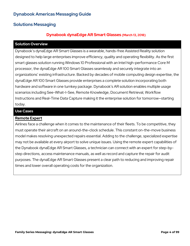# **Solutions Messaging**

# **Dynabook dynaEdge AR Smart Glasses (March 13, 2018)**

### **Solution Overview**

Dynabook's dynaEdge AR Smart Glasses is a wearable, hands-free Assisted Reality solution designed to help large enterprises improve efficiency, quality and operating flexibility. As the first smart glasses solution running Windows 10 Professional with an Intel high-performance Core M processor, the dynaEdge AR 100 Smart Glasses seamlessly and securely integrate into an organizations' existing infrastructure. Backed by decades of mobile computing design expertise, the dynaEdge AR 100 Smart Glasses provide enterprises a complete solution incorporating both hardware and software in one turnkey package. Dynabook's AR solution enables multiple usage scenarios including See-What-I-See, Remote Knowledge, Document Retrieval, Workflow Instructions and Real-Time Data Capture making it the enterprise solution for tomorrow—starting today.

### **Use Cases**

### **Remote Expert**

Airlines face a challenge when it comes to the maintenance of their fleets. To be competitive, they must operate their aircraft on an around-the-clock schedule. This constant on-the-move business model makes resolving unexpected repairs essential. Adding to the challenge, specialized expertise may not be available at every airport to solve unique issues. Using the remote expert capabilities of the Dynabook dynaEdge AR Smart Glasses, a technician can connect with an expert for step-bystep directions, access maintenance manuals, as well as record and capture the repair for audit purposes. The dynaEdge AR Smart Glasses present a clear path to reducing and improving repair times and lower overall operating costs for the organization.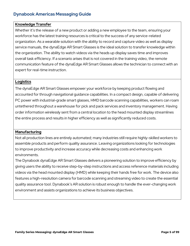### **Knowledge Transfer**

Whether it's the release of a new product or adding a new employee to the team, ensuring your workforce has the latest training resources is critical to the success of any service-related organization. As a wearable solution with the ability to record and capture video as well as display service manuals, the dynaEdge AR Smart Glasses is the ideal solution to transfer knowledge within the organization. The ability to watch videos via the heads up display saves time and improves overall task efficiency. If a scenario arises that is not covered in the training video, the remote communication feature of the dynaEdge AR Smart Glasses allows the technician to connect with an expert for real-time instruction.

### **Logistics**

The dynaEdge AR Smart Glasses empower your workforce by keeping product flowing and accounted for through navigational guidance capabilities. In a compact design, capable of delivering PC power with industrial-grade smart glasses, HMD barcode scanning capabilities, workers can roam untethered throughout a warehouse for pick and pack services and inventory management. Having order information wirelessly sent from a central location to the head mounted display streamlines the entire process and results in higher efficiency as well as significantly reduced costs.

### **Manufacturing**

Not all production lines are entirely automated; many industries still require highly-skilled workers to assemble products and perform quality assurance. Leaving organizations looking for technologies to improve productivity and increase accuracy while decreasing costs and enhancing work environments.

The Dynabook dynaEdge AR Smart Glasses delivers a pioneering solution to improve efficiency by giving users the ability to receive step-by-step instructions and access reference materials including videos via the head mounted display (HMD) while keeping their hands free for work. The device also features a high-resolution camera for barcode scanning and streaming video to create the essential quality assurance tool. Dynabook's AR solution is robust enough to handle the ever-changing work environment and assists organizations to achieve its business objectives.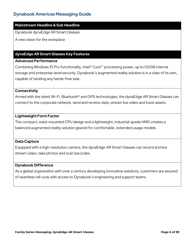### **Mainstream Headline & Sub Headline**

Dynabook dynaEdge AR Smart Glasses

A new vision for the workplace

### **dynaEdge AR Smart Glasses Key Features**

### **Advanced Performance**

Combining Windows 10 Pro functionality, Intel® Core™ processing power, up to 512GB internal storage and enterprise-level security, Dynabook's augmented reality solution is in a class of its own, capable of tackling any hands-free task.

### **Connectivity**

Armed with the latest Wi-Fi, Bluetooth® and GPS technologies, the dynaEdge AR Smart Glasses can connect to the corporate network, send and receive data, stream live video and track assets.

### **Lightweight Form Factor**

The compact, waist-mounted CPU design and a lightweight, industrial-grade HMD creates a balanced augmented reality solution geared for comfortable, extended usage models.

### **Data Capture**

Equipped with a high-resolution camera, the dynaEdge AR Smart Glasses can record and live stream video, take photos and scan barcodes.

### **Dynabook Difference**

As a global organization with over a century developing innovative solutions, customers are assured of seamless roll-outs with access to Dynabook's engineering and support teams.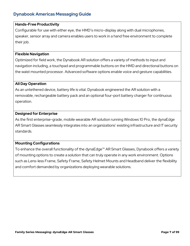### **Hands-Free Productivity**

Configurable for use with either eye, the HMD's micro-display along with dual microphones, speaker, sensor array and camera enables users to work in a hand free environment to complete their job.

### **Flexible Navigation**

Optimized for field work, the Dynabook AR solution offers a variety of methods to input and navigation including, a touchpad and programmable buttons on the HMD and directional buttons on the waist mounted processor. Advanced software options enable voice and gesture capabilities.

### **All Day Operation**

As an untethered device, battery life is vital. Dynabook engineered the AR solution with a removable, rechargeable battery pack and an optional four-port battery charger for continuous operation.

### **Designed for Enterprise**

As the first enterprise-grade, mobile wearable AR solution running Windows 10 Pro, the dynaEdge AR Smart Glasses seamlessly integrates into an organizations' existing infrastructure and IT security standards.

### **Mounting Configurations**

To enhance the overall functionality of the dynaEdge™ AR Smart Glasses, Dynabook offers a variety of mounting options to create a solution that can truly operate in any work environment. Options such as Lens-less Frame, Safety Frame, Safety Helmet Mounts and Headband deliver the flexibility and comfort demanded by organizations deploying wearable solutions.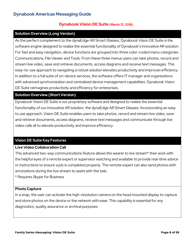### **Dynabook Vision DE Suite (March 13, 2018)**

### **Solution Overview (Long Version)**

As the perfect complement to the dynaEdge AR Smart Glasses, Dynabook Vision DE Suite is the software engine designed to realize the essential functionality of Dynabook's innovative AR solution. For fast and easy navigation, device functions are grouped into three color-coded menu categories: Communications, File Viewer and Tools. From these three menus users can take photos, record and stream live video, save and retrieve documents, access diagrams and receive text messages. This easy-to-use approach to navigating a robust solution elevates productivity and improves efficiency. In addition to a full suite of on-device services, the software offers IT manager and organizations with advanced synchronization and centralized device management capabilities. Dynabook Vision DE Suite reimagines productivity and efficiency for enterprises.

### **Solution Overview (Short Version)**

Dynabook Vision DE Suite is our proprietary software and designed to realize the essential functionality of our innovative AR solution, the dynaEdge AR Smart Glasses. Incorporating an easy to use approach, Vision DE Suite enables users to take photos, record and stream live video, save and retrieve documents, access diagrams, receive text messages and communicate through live video calls all to elevate productivity and improve efficiency.

### **Vision DE Suite Key Features**

### **Live Video Collaboration Call**

This advanced two-way communications feature allows the wearer to live stream\* their work with the helpful eyes of a remote expert or supervisor watching and available to provide real-time advice or instructions to ensure a job is completed properly. The remote expert can also send photos with annotations during the live stream to assist with the task.

\* Requires Skype for Business

### **Photo Capture**

In a snap, the user can activate the high-resolution camera on the head mounted display to capture and store photos on the device or the network with ease. This capability is essential for any diagnostics, quality assurance or archival purposes.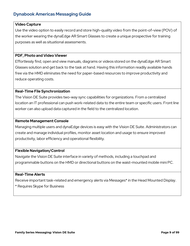### **Video Capture**

Use the video option to easily record and store high-quality video from the point-of-view (POV) of the worker wearing the dynaEdge AR Smart Glasses to create a unique prospective for training purposes as well as situational assessments.

### **PDF, Photo and Video Viewer**

Effortlessly find, open and view manuals, diagrams or videos stored on the dynaEdge AR Smart Glasses solution and get back to the task at hand. Having this information readily available hands free via the HMD eliminates the need for paper-based resources to improve productivity and reduce operating costs.

### **Real-Time File Synchronization**

The Vision DE Suite provides two-way sync capabilities for organizations. From a centralized location an IT professional can push work-related data to the entire team or specific users. Front line worker can also upload data captured in the field to the centralized location.

### **Remote Management Console**

Managing multiple users and dynaEdge devices is easy with the Vision DE Suite. Administrators can create and manage individual profiles, monitor asset location and usage to ensure improved productivity, labor efficiency and operational flexibility.

### **Flexible Navigation/Control**

Navigate the Vision DE Suite interface in variety of methods, including a touchpad and programmable buttons on the HMD or directional buttons on the waist-mounted mobile mini PC.

### **Real-Time Alerts**

Receive important task-related and emergency alerts via Messages\* in the Head Mounted Display.

\* Requires Skype for Business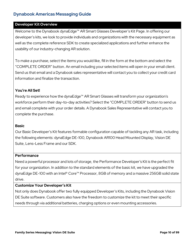### **Developer Kit Overview**

Welcome to the Dynabook dynaEdge™ AR Smart Glasses Developer's Kit Page. In offering our developer's kits, we look to provide individuals and organizations with the necessary equipment as well as the complete reference SDK to create specialized applications and further enhance the usability of our industry-changing AR solution.

To make a purchase, select the items you would like, fill in the form at the bottom and select the "COMPLETE ORDER" button. An email including your selected items will open in your email client. Send us that email and a Dynabook sales representative will contact you to collect your credit card information and finalize the transaction.

### **You're All Set!**

Ready to experience how the dynaEdge™ AR Smart Glasses will transform your organization's workforce perform their day-to-day activities? Select the "COMPLETE ORDER" button to send us and email complete with your order details. A Dynabook Sales Representative will contact you to complete the purchase.

### **Basic**

Our Basic Developer's Kit features formable configuration capable of tackling any AR task, including the following elements: dynaEdge DE-100, Dynabook AR100 Head Mounted Display, Vision DE Suite, Lens-Less Frame and our SDK.

### **Performance**

Need a powerful processor and lots of storage, the Performance Developer's Kit is the perfect fit for your organization. In addition to the standard elements of the basic kit, we have upgraded the dynaEdge DE-100 with an Intel® Core™ Processor, 8GB of memory and a massive 256GB solid state drive.

### **Customize Your Developer's Kit**

Not only does Dynabook offer two fully equipped Developer's Kits, including the Dynabook Vision DE Suite software. Customers also have the freedom to customize the kit to meet their specific needs through via additional batteries, charging options or even mounting accessories.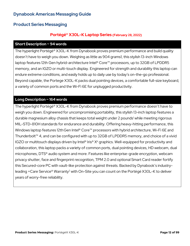# **Product Series Messaging**

### **Portégé® X30L-K Laptop Series (February 28, 2022)**

### **Short Description ~ 94 words**

The hyperlight Portégé® X30L-K from Dynabook proves premium performance and build quality doesn't have to weigh you down. Weighing as little as 904 grams1, this stylish 13-inch Windows laptop features 12th Gen hybrid-architecture Intel® Core™ processors, up to 32GB of LPDDR5 memory, and an IGZO or multi-touch display. Engineered for strength and durability this laptop can endure extreme conditions, and easily holds up to daily use by today's on-the-go professional. Beyond capable, the Portege X30L-K packs dual pointing devices, a comfortable full-size keyboard, a variety of common ports and the Wi-Fi 6E for unplugged productivity.

### **Long Description ~ 164 words**

The hyperlight Portégé® X30L-K from Dynabook proves premium performance doesn't have to weigh you down. Engineered for uncompromising portability, this stylish 13-inch laptop features a durable magnesium alloy chassis that keeps total weight under 2 pounds<sup>1</sup> while meeting rigorous MIL-STD-810H standards for endurance and durability. Offering heavy-hitting performance, this Windows laptop features 12th Gen Intel® Core<sup>™</sup> processors with hybrid architecture, Wi-Fi 6E and Thunderbolt™ 4, and can be configured with up to 32GB of LPDDR5 memory, and choice of a vivid IGZO or multitouch displays driven by Intel® Iris® X<sup>e</sup> graphics. Well-equipped for productivity and collaboration, this laptop packs a variety of common ports, dual pointing devices, HD webcam, dual microphones, DTS® audio system and more. Features like enterprise-grade encryption, webcam privacy shutter, face and fingerprint recognition, TPM 2.0 and optional Smart Card reader fortify this Secured-core PC with vault-like protection against threats. Backed by Dynabook's industryleading +Care Service® Warranty2 with On-Site you can count on the Portégé X30L-K to deliver years of worry-free reliability.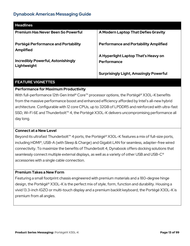| <b>Headlines</b>                                         |                                                    |
|----------------------------------------------------------|----------------------------------------------------|
| <b>Premium Has Never Been So Powerful</b>                | A Modern Laptop That Defies Gravity                |
| Portégé Performance and Portability<br><b>Amplified</b>  | <b>Performance and Portability Amplified</b>       |
| <b>Incredibly Powerful, Astonishingly</b><br>Lightweight | A Hyperlight Laptop That's Heavy on<br>Performance |
|                                                          | <b>Surprisingly Light, Amazingly Powerful</b>      |

### **FEATURE VIGNETTES**

### **Performance for Maximum Productivity**

With full-performance 12th Gen Intel® Core™ processor options, the Portégé® X30L-K benefits from the massive performance boost and enhanced efficiency afforded by Intel's all-new hybrid architecture. Configurable with 12 core CPUs, up to 32GB of LPDDR5 and reinforced with ultra-fast SSD, Wi-Fi 6E and Thunderbolt™ 4, the Portégé X30L-K delivers uncompromising performance all day long.

### **Connect at a New Level**

Beyond its ultrafast Thunderbolt™ 4 ports, the Portégé® X30L-K features a mix of full-size ports, including HDMI®, USB-A (with Sleep & Charge) and Gigabit LAN for seamless, adapter-free wired connectivity. To maximize the benefits of Thunderbolt 4, Dynabook offers docking solutions that seamlessly connect multiple external displays, as well as a variety of other USB and USB-C<sup>®</sup> accessories with a single cable connection.

### **Premium Takes a New Form**

Featuring a small footprint chassis engineered with premium materials and a 180-degree hinge design, the Portégé® X30L-K is the perfect mix of style, form, function and durability. Housing a vivid 13.3-inch IGZO or multi-touch display and a premium backlit keyboard, the Portégé X30L-K is premium from all angles.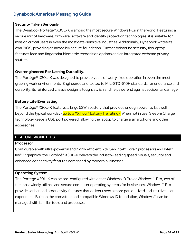### **Security Taken Seriously**

The Dynabook Portégé® X30L-K is among the most secure Windows PCs in the world. Featuring a secure mix of hardware, firmware, software and identity protection technologies, it is suitable for mission critical users in even the most data-sensitive industries. Additionally, Dynabook writes its own BIOS, providing an incredibly secure foundation. Further bolstering security, this laptop features face and fingerprint biometric recognition options and an integrated webcam privacy shutter.

### **Overengineered For Lasting Durability.**

The Portégé® X30L-K was designed to provide years of worry-free operation in even the most grueling work environments. Engineered and tested to MIL-STD-810H standards for endurance and durability, its reinforced chassis design is tough, stylish and helps defend against accidental damage.

### **Battery Life Everlasting**

The Portégé® X30L-K features a large 53Wh battery that provides enough power to last well beyond the typical workday (up to a XX hour<sup>3</sup> battery life rating). When not in use, Sleep & Charge technology keeps a USB port powered, allowing the laptop to charge a smartphone and other accessories.

### **FEATURE VIGNETTES**

### **Processor**

Configurable with ultra-powerful and highly efficient 12th Gen Intel® Core™ processors and Intel® Iris® Xe graphics, the Portégé® X30L-K delivers the industry-leading speed, visuals, security and enhanced connectivity features demanded by modern businesses.

### **Operating System**

The Portege X30L-K can be pre-configured with either Windows 10 Pro or Windows 11 Pro, two of the most widely utilized and secure computer operating systems for businesses. Windows 11 Pro provides enhanced productivity features that deliver users a more personalized and intuitive user experience. Built on the consistent and compatible Windows 10 foundation, Windows 11 can be managed with familiar tools and processes.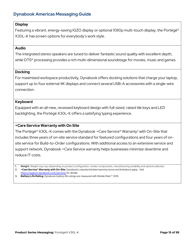### **Display**

Featuring a vibrant, energy-saving IGZO display or optional 1080p multi-touch display, the Portégé® X30L-K has screen options for everybody's work style.

### **Audio**

The integrated stereo speakers are tuned to deliver fantastic sound quality with excellent depth, while DTS<sup>®</sup> processing provides a rich multi-dimensional soundstage for movies, music and games.

### **Docking**

For maximized workspace productivity, Dynabook offers docking solutions that charge your laptop, support up to four external 4K displays and connect several USB-A accessories with a single-wire connection.

### **Keyboard**

Equipped with an all-new, recessed keyboard design with full-sized, raised tile keys and LED backlighting, the Portégé X30L-K offers a satisfying typing experience.

### **+Care Service Warranty with On Site**

The Portégé® X30L-K comes with the Dynabook +Care Service® Warranty<sup>2</sup> with On-Site that includes three years of on-site service standard for featured configurations and four years of onsite service for Build-to-Order configurations. With additional access to an extensive service and support network, Dynabook +Care Service warranty helps businesses minimize downtime and reduce IT costs.

**1. Weight.** Weight may vary depending on product configuration, vendor components, manufacturing variability and options selected. **2. +Care Service® Warranty with On-Site.** Dynabook's standard limited warranty terms and limitations apply. Visit <https://support.dynabook.com/warranty> for details.

**3. Battery Life Rating.** Dynabook battery life ratings are measured with Mobile Mark™ 2018.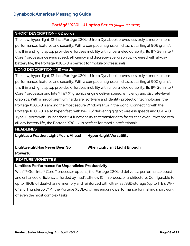# **Portégé® X30L-J Laptop Series (August 27, 2020)**

### **SHORT DESCRIPTION ~ 62 words**

The new, hyper-light, 13-inch Portégé X30L-J from Dynabook proves less truly is more – more performance, features and security. With a compact magnesium chassis starting at 906 grams<sup>1</sup>, this thin and light laptop provides effortless mobility with unparalleled durability. Its 11<sup>th</sup>-Gen Intel<sup>®</sup> Core™ processor delivers speed, efficiency and discrete-level graphics. Powered with all-day battery life, the Portege X30L-J is perfect for mobile professionals.

### **LONG DESCRIPTION ~ 119 words**

The new, hyper-light, 13-inch Portégé X30L-J from Dynabook proves less truly is more – more performance, features and security. With a compact magnesium chassis starting at 900 grams<sup>1</sup>, this thin and light laptop provides effortless mobility with unparalleled durability. Its 11<sup>th</sup>-Gen Intel<sup>®</sup> Core™ processor and Intel® Iris® X<sup>e</sup> graphics engine deliver speed, efficiency and discrete-level graphics. With a mix of premium hardware, software and identity protection technologies, the Portege X30L-J is among the most secure Windows PCs in the world. Connecting with the Portégé X30L-J is also hyper-fast, with Wi-Fi 6<sup>2</sup> delivering gigabit wireless speeds and USB 4.0 Type-C ports with Thunderbolt™ 4 functionality that transfer data faster than ever. Powered with all-day battery life, the Portege X30L-J is perfect for mobile professionals.

| <b>HEADLINES</b>                                           |                                |  |
|------------------------------------------------------------|--------------------------------|--|
| Light as a Feather, Light Years Ahead                      | <b>Hyper-Light Versatility</b> |  |
| Lightweight Has Never Been So                              | When Light Isn't Light Enough  |  |
| <b>Powerful</b>                                            |                                |  |
| <b>FEATURE VIGNETTES</b>                                   |                                |  |
| <b>Limitless Performance for Unparalleled Productivity</b> |                                |  |

With 11<sup>th</sup> Gen Intel<sup>®</sup> Core™ processor options, the Portege X30L-J delivers a performance boost and enhanced efficiency afforded by Intel's all-new 10nm processor architecture. Configurable to up to 48GB of dual-channel memory and reinforced with ultra-fast SSD storage (up to 1TB), Wi-Fi 62 and Thunderbolt™ 4, the Portege X30L-J offers enduring performance for making short work of even the most complex tasks.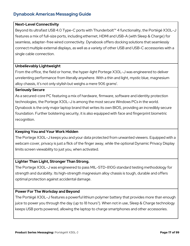### **Next-Level Connectivity**

Beyond its ultrafast USB 4.0 Type-C ports with Thunderbolt™ 4 functionality, the Portégé X30L-J features a mix of full-size ports, including ethernet, HDMI and USB-A (with Sleep & Charge) for seamless, adapter-free wired connectivity. Dynabook offers docking solutions that seamlessly connect multiple external displays, as well as a variety of other USB and USB-C accessories with a single cable connection.

### **Unbelievably Lightweight**

From the office, the field or home, the hyper-light Portege X30L-J was engineered to deliver unrelenting performance from literally anywhere. With a thin and light, mystic blue, magnesium alloy chassis, it's not only stylish but weighs a mere 906 grams<sup>1</sup>.

### **Seriously Secure**

As a secured-core PC featuring a mix of hardware, firmware, software and identity protection technologies, the Portege X30L-J is among the most secure Windows PCs in the world. Dynabook is the only major laptop brand that writes its own BIOS, providing an incredibly secure foundation. Further bolstering security, it is also equipped with face and fingerprint biometric recognition.

### **Keeping You and Your Work Hidden**

The Portege X30L-J keeps you and your data protected from unwanted viewers. Equipped with a webcam cover, privacy is just a flick of the finger away, while the optional Dynamic Privacy Display limits screen viewability to just you, when activated.

### **Lighter Than Light, Stronger Than Strong.**

The Portege X30L-J was engineered to pass MIL-STD-810G standard testing methodology for strength and durability. Its high-strength magnesium alloy chassis is tough, durable and offers optimal protection against accidental damage.

### **Power For The Workday and Beyond**

The Portégé X30L-J features a powerful lithium polymer battery that provides more than enough juice to power you through the day (up to 18 hours<sup>3</sup>). When not in use, Sleep & Charge technology keeps USB ports powered, allowing the laptop to charge smartphones and other accessories.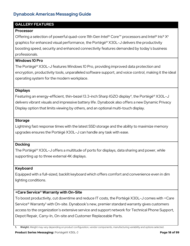### **GALLERY FEATURES**

### **Processor**

Offering a selection of powerful quad-core 11th Gen Intel® Core™ processors and Intel® Iris® X<sup>e</sup> graphics for enhanced visual performance, the Portégé® X30L-J delivers the productivity boosting speed, security and enhanced connectivity features demanded by today's business professionals.

### **Windows 10 Pro**

The Portégé® X30L-J features Windows 10 Pro, providing improved data protection and encryption, productivity tools, unparalleled software support, and voice control, making it the ideal operating system for the modern workplace.

### **Displays**

Featuring an energy-efficient, thin-bezel 13.3-inch Sharp IGZO display<sup>4</sup>, the Portégé<sup>®</sup> X30L-J delivers vibrant visuals and impressive battery life. Dynabook also offers a new Dynamic Privacy Display option that limits viewing by others, and an optional multi-touch display.

### **Storage**

Lightning fast response times with the latest SSD storage and the ability to maximize memory upgrades ensures the Portégé X30L-J can handle any task with ease.

### **Docking**

The Portégé® X30L-J offers a multitude of ports for displays, data sharing and power, while supporting up to three external 4K displays.

### **Keyboard**

Equipped with a full-sized, backlit keyboard which offers comfort and convenience even in dim lighting conditions.

### **+Care Service® Warranty with On-Site**

To boost productivity, cut downtime and reduce IT costs, the Portégé X30L-J comes with +Care Service<sup>®</sup> Warranty<sup>5</sup> with On-site. Dynabook's new, premier standard warranty gives customers access to the organization's extensive service and support network for Technical Phone Support, Depot Repair, Carry-In, On-site and Customer Replaceable Parts.

**1. Weight.** Weight may vary depending on product configuration, vendor components, manufacturing variability and options selected.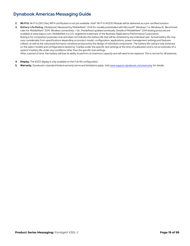- 2. Wi-Fi 6. Wi-Fi 6 (802.11ax) WFA certification is not yet available. Intel® Wi-Fi 6 AX200 Module will be delivered as a pre-certified solution.
- 3. Battery Life Rating. (Notebook) Measured by MobileMark® 2014 for models preinstalled with Microsoft® Windows 7 or Windows 10. Benchmark rules for MobileMark® 2014: Wireless connectivity = On, Predefined updated workloads. Details of MobileMark® 2014 testing protocols are available at www.bapco.com. MobileMark is a U.S. registered trademark of the Business Applications Performance Corporation. Rating is for comparison purposes only and does not indicate the battery life that will be obtained by any individual user. Actual battery life may vary considerably from specifications depending on product model, configuration, applications, power management settings and features utilized, as well as the natural performance variations produced by the design of individual components. The battery life rating is only achieved on the select models and configurations tested by Toshiba under the specific test settings at the time of publication and is not an estimate of a system's battery life under any conditions other than the specific test settings.

After a period of time, the battery will lose its ability to perform at maximum capacity and will need to be replaced. This is normal for all batteries.

- **4. Display.** The IGZO display is only available on the Full HD configuration.
- **5. Warranty.** Dynabook's standard limited warranty terms and limitations apply. Visi[t www.support.dynabook.com/warranty](http://www.support.dynabook.com/warranty) for details.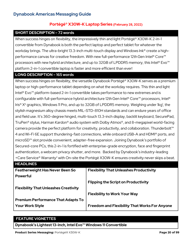# **Portégé® X30W-K Laptop Series (February 28, 2022)**

### **SHORT DESCRIPTION – 72 words**

When success hinges on flexibility, the impressively thin and light Portégé® X30W-K 2-in-1 convertible from Dynabook is both the perfect laptop and perfect tablet for whatever the workday brings. The ultra-bright 13.3-inch multi-touch display and Windows Ink® create a highperformance canvas for creative freedom. With new full-performance 12th Gen Intel® Core<sup>™</sup> processors with new hybrid architecture, and up to 32GB of LPDDR5 memory, this Intel<sup>®</sup> Evo<sup>™</sup> platform 2-in-1 convertible laptop is faster and more efficient than ever!

### **LONG DESCRIPTION – 165 words**

When success hinges on flexibility, the versatile Dynabook Portégé® X30W-K serves as a premium laptop or high-performance tablet depending on what the workday requires. This thin and light Intel® Evo™ platform-based 2-in-1 convertible takes performance to new extremes and is configurable with full-performance hybrid architecture 12thGen Intel® Core™ processors, Intel® Iris® X<sup>e</sup> graphics, Windows 11 Pro, and up to 32GB of LPDDR5 memory. Weighing under 1kg<sup>1</sup>, the stylish magnesium alloy chassis meets MIL-STD-810H standards and can endure years of office and field use. It's 360-degree hinged, multi-touch 13.3-inch display, backlit keyboard, SecurePad, TruPen® stylus, Harman Kardon® audio system with Dolby Atmos®, and 8-megapixel world-facing camera provide the perfect platform for creativity, productivity, and collaboration. Thunderbolt™ 4 and Wi-Fi 6E support thundering-fast connections, while onboard USB-A and HDMI® ports, and microSD™ slot provide convenient, adapter-free expansion. Joining Dynabook's portfolio of Secured-core PCs, this 2-in-1 is fortified with enterprise-grade encryption, face and fingerprint authentication, a webcam privacy shutter, and more. Backed by Dynabook's industry-leading +Care Service® Warranty2 with On-site the Portégé X30W-K ensures creativity never skips a beat.

| <b>HEADLINES</b>                             |                                                      |
|----------------------------------------------|------------------------------------------------------|
| <b>Featherweight Has Never Been So</b>       | <b>Flexibility That Unleashes Productivity</b>       |
| <b>Powerful</b>                              |                                                      |
|                                              | <b>Flipping the Script on Productivity</b>           |
| <b>Flexibility That Unleashes Creativity</b> |                                                      |
|                                              | <b>Flexibility to Work Your Way</b>                  |
| <b>Premium Performance That Adapts To</b>    |                                                      |
| <b>Your Work Style</b>                       | <b>Freedom and Flexibility That Works For Anyone</b> |
|                                              |                                                      |

### **FEATURE VIGNETTES**

**Dynabook's Lightest 13-inch, Intel Evo™ Windows 11 Convertible**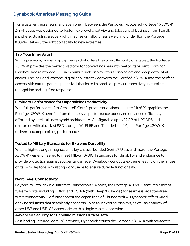For artists, entrepreneurs, and everyone in between, the Windows 11-powered Portégé® X30W-K 2-in-1 laptop was designed to foster next-level creativity and take care of business from literally anywhere. Boasting a super-light, magnesium alloy chassis weighing under 1kg<sup>1</sup>, the Portege X30W-K takes ultra-light portability to new extremes.

### **Tap Your Inner Artist**

With a premium, modern laptop design that offers the robust flexibility of a tablet, the Portégé X30W-K provides the perfect platform for converting ideas into reality. Its vibrant, Corning® Gorilla® Glass reinforced 13.3-inch multi-touch display offers crisp colors and sharp detail at all angles. The included Wacom® digital pen instantly converts the Portégé X30W-K into the perfect canvas with natural pen-to-paper feel thanks to its precision pressure sensitivity, natural tilt recognition and lag-free response.

### **Limitless Performance for Unparalleled Productivity**

With full-performance 12th Gen Intel® Core<sup>™</sup> processor options and Intel® Iris® X<sup>e</sup> graphics the Portégé X30W-K benefits from the massive performance boost and enhanced efficiency afforded by Intel's all-new hybrid architecture. Configurable up to 32GB of LPDDR5 and reinforced with ultra-fast SSD storage, Wi-Fi 6E and Thunderbolt™ 4, the Portégé X30W-K delivers uncompromising performance.

### **Tested to Military Standards for Extreme Durability**

With its high-strength magnesium alloy chassis, bonded Gorilla<sup>®</sup> Glass and more, the Portege X30W-K was engineered to meet MIL-STD-810H standards for durability and endurance to provide protection against accidental damage. Dynabook conducts extreme testing on the hinges of its 2-in-1 laptops, simulating work usage to ensure durable functionality.

### **Next Level Connectivity**

Beyond its ultra-flexible, ultrafast Thunderbolt™ 4 ports, the Portégé X30W-K features a mix of full-size ports, including HDMI® and USB-A (with Sleep & Charge) for seamless, adapter-free wired connectivity. To further boost the capabilities of Thunderbolt 4, Dynabook offers wired docking solutions that seamlessly connects up to four external displays, as well as a variety of other USB and USB-C® accessories with a single cable connection.

### **Advanced Security for Handling Mission Critical Data**

As a leading Secured-core PC provider, Dynabook equips the Portege X30W-K with advanced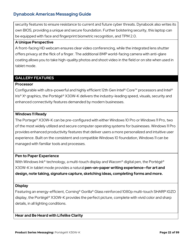security features to ensure resistance to current and future cyber threats. Dynabook also writes its own BIOS, providing a unique and secure foundation. Further bolstering security, this laptop can be equipped with face and fingerprint biometric recognition, and TPM 2.0.

### **A Unique Perspective**

A front-facing HD webcam ensures clear video conferencing, while the integrated lens shutter offers privacy at the flick of a finger. The additional 8MP world-facing camera with anti-glare coating allows you to take high-quality photos and shoot video in the field or on site when used in tablet mode.

### **GALLERY FEATURES**

### **Processor**

Configurable with ultra-powerful and highly efficient 12th Gen Intel® Core™ processors and Intel® Iris® Xe graphics, the Portégé® X30W-K delivers the industry-leading speed, visuals, security and enhanced connectivity features demanded by modern businesses.

### **Windows 11 Ready**

The Portege® X30W-K can be pre-configured with either Windows 10 Pro or Windows 11 Pro, two of the most widely utilized and secure computer operating systems for businesses. Windows 11 Pro provides enhanced productivity features that deliver users a more personalized and intuitive user experience. Built on the consistent and compatible Windows 10 foundation, Windows 11 can be managed with familiar tools and processes.

### **Pen to Paper Experience**

With Windows Ink® technology, a multi-touch display and Wacom® digital pen, the Portégé® X30W-K in tablet mode provides a natural **pen-on-paper writing experience—for art and design, note taking, signature capture, sketching ideas, completing forms and more.**

### **Display**

Featuring an energy-efficient, Corning® Gorilla® Glass reinforced 1080p multi-touch SHARP IGZO display, the Portégé® X30W-K provides the perfect picture, complete with vivid color and sharp details, in all lighting conditions.

**Hear and Be Heard with Lifelike Clarity**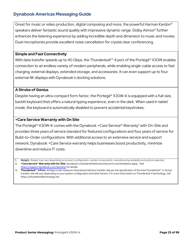Great for music or video production, digital composing and more, the powerful Harman Kardon® speakers deliver fantastic sound quality with impressive dynamic range. Dolby Atmos® further enhances the listening experience by adding incredible depth and dimension to music and movies. Dual microphones provide excellent noise cancellation for crystal clear conferencing.

### **Simple and Fast Connectivity**

With data transfer speeds up to 40 Gbps, the Thunderbolt™ 4 port of the Portégé® X30W enables connection to an endless variety of modern peripherals, while enabling single-cable access to fast charging, external displays, extended storage, and accessories. It can even support up to four external 4K displays with Dynabook's docking solutions.

### **A Stroke of Genius**

Despite having an ultra-compact form factor, the Portégé® X30W-K is equipped with a full-size, backlit keyboard that offers a natural typing experience, even in the dark. When used in tablet mode, the keyboard is automatically disabled to prevent accidental keystrokes.

### **+Care Service Warranty with On Site**

The Portégé® X30W-K comes with the Dynabook +Care Service® Warranty<sup>2</sup> with On-Site and provides three years of service standard for featured configurations and four years of service for Build-to-Order configurations. With additional access to an extensive service and support network, Dynabook +Care Service warranty helps businesses boost productivity, minimize downtime and reduce IT costs.

**<sup>1.</sup> Weight.** Weight may vary depending on product configuration, vendor components, manufacturing variability and options selected. **2. +Care Service® Warranty with On-Site.** Dynabook's standard limited warranty terms and limitations apply. Visit

<https://support.dynabook.com/warranty> for details.

**<sup>3.</sup> Thunderbolt™ 4 Port.** 40Gbps is the maximum theoretical interface transfer rate per the specification of the Intel Thunderbolt™ 4. Actual transfer rate will vary depending on your system configuration and other factors. For more information on Thunderbolt 4 technology, visit https://thunderbolttechnology.net.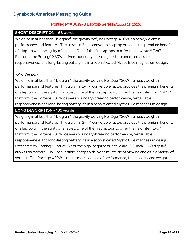### **Portégé® X30W-J Laptop Series (August 26, 2020)**

### **SHORT DESCRIPTION – 68 words**

Weighing in at less than 1 kilogram<sup>1</sup>, the gravity defying Portégé X30W is a heavyweight in performance and features. This ultrathin 2-in-1 convertible laptop provides the premium benefits of a laptop with the agility of a tablet. One of the first laptops to offer the new Intel® Evo<sup>™</sup> Platform, the Portégé X30W delivers boundary-breaking performance, remarkable responsiveness and long-lasting battery life in a sophisticated Mystic Blue magnesium design.

### *vPro Version*

Weighing in at less than 1 kilogram<sup>1</sup>, the gravity defying Portégé X30W is a heavyweight in performance and features. This ultrathin 2-in-1 convertible laptop provides the premium benefits of a laptop with the agility of a tablet. One of the first laptops to offer the new Intel® Evo™ vPro® Platform, the Portégé X30W delivers boundary-breaking performance, remarkable responsiveness and long-lasting battery life in a sophisticated Mystic Blue magnesium design.

### **LONG DESCRIPTION – 109 words**

Weighing in at less than 1 kilogram<sup>1</sup>, the gravity defying Portégé X30W is a heavyweight in performance and features. This ultrathin 2-in-1 convertible laptop provides the premium benefits of a laptop with the agility of a tablet. One of the first laptops to offer the new Intel® Evo<sup>™</sup> Platform, the Portégé X30W, delivers boundary-breaking performance, remarkable responsiveness and long-lasting battery life in a sophisticated Mystic Blue magnesium design. Protected by Corning<sup>®</sup> Gorilla<sup>®</sup> Glass, the high-brightness, anti-glare 13.3-inch IGZO display<sup>2</sup> allows this modern 2-in-1 convertible laptop to deliver a multitude of viewing angles in a variety of settings. The Portégé X30W is the ultimate balance of performance, functionality and weight.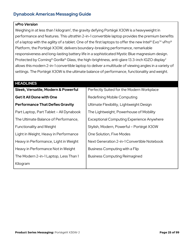### *vPro Version*

Weighing in at less than 1 kilogram<sup>1</sup>, the gravity defying Portégé X30W is a heavyweight in performance and features. This ultrathin 2-in-1 convertible laptop provides the premium benefits of a laptop with the agility of a tablet. One of the first laptops to offer the new Intel® Evo™ vPro® Platform, the Portégé X30W, delivers boundary-breaking performance, remarkable responsiveness and long-lasting battery life in a sophisticated Mystic Blue magnesium design. Protected by Corning<sup>®</sup> Gorilla<sup>®</sup> Glass, the high-brightness, anti-glare 13.3-inch IGZO display<sup>2</sup> allows this modern 2-in-1 convertible laptop to deliver a multitude of viewing angles in a variety of settings. The Portégé X30W is the ultimate balance of performance, functionality and weight.

| <b>HEADLINES</b>                        |                                                  |
|-----------------------------------------|--------------------------------------------------|
| Sleek, Versatile, Modern & Powerful     | Perfectly Suited for the Modern Workplace        |
| <b>Get it All Done with One</b>         | Redefining Mobile Computing                      |
| <b>Performance That Defies Gravity</b>  | Ultimate Flexibility, Lightweight Design         |
| Part Laptop, Part Tablet - All Dynabook | The Lightweight, Powerhouse of Mobility          |
| The Ultimate Balance of Performance,    | <b>Exceptional Computing Experience Anywhere</b> |
| <b>Functionality and Weight</b>         | Stylish, Modern, Powerful - Portégé X30W         |
| Light in Weight, Heavy in Performance   | One Solution, Five Modes                         |
| Heavy in Performance, Light in Weight   | Next Generation 2-in-1 Convertible Notebook      |
| Heavy in Performance Not in Weight      | Business Computing with a Flip                   |
| The Modern 2-in-1 Laptop, Less Than 1   | <b>Business Computing Reimagined</b>             |
| Kilogram                                |                                                  |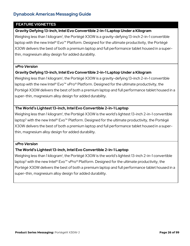### **FEATURE VIGNETTES**

### **Gravity Defying 13-inch, Intel Evo Convertible 2-in-1 Laptop Under a Kilogram**

Weighing less than 1 kilogram<sup>1</sup>, the Portégé X30W is a gravity-defying 13-inch 2-in-1 convertible laptop with the new Intel® Evo™ Platform. Designed for the ultimate productivity, the Portégé X30W delivers the best of both a premium laptop and full performance tablet housed in a superthin, magnesium alloy design for added durability.

### *vPro Version*

### **Gravity Defying 13-inch, Intel Evo Convertible 2-in-1 Laptop Under a Kilogram**

Weighing less than 1 kilogram<sup>1</sup>, the Portégé X30W is a gravity-defying 13-inch 2-in-1 convertible laptop with the new Intel® Evo™ vPro® Platform. Designed for the ultimate productivity, the Portégé X30W delivers the best of both a premium laptop and full performance tablet housed in a super-thin, magnesium alloy design for added durability.

### **The World's Lightest 13-inch, Intel Evo Convertible 2-in-1 Laptop**

Weighing less than 1 kilogram<sup>1</sup>, the Portégé X30W is the world's lightest 13-inch 2-in-1 convertible laptop<sup>5</sup> with the new Intel® Evo™ Platform. Designed for the ultimate productivity, the Portégé X30W delivers the best of both a premium laptop and full performance tablet housed in a superthin, magnesium alloy design for added durability.

### *vPro Version*

### **The World's Lightest 13-inch, Intel Evo Convertible 2-in-1 Laptop**

Weighing less than 1 kilogram<sup>1</sup>, the Portégé X30W is the world's lightest 13-inch 2-in-1 convertible laptop<sup>5</sup> with the new Intel® Evo<sup>™</sup> vPro® Platform. Designed for the ultimate productivity, the Portégé X30W delivers the best of both a premium laptop and full performance tablet housed in a super-thin, magnesium alloy design for added durability.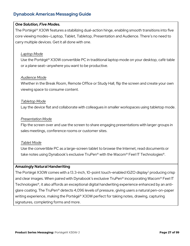### *One Solution, Five Modes.*

The Portégé® X30W features a stabilizing dual-action hinge, enabling smooth transitions into five core viewing modes—Laptop, Tablet, Tabletop, Presentation and Audience. There's no need to carry multiple devices. Get it all done with one.

### *Laptop Mode*

Use the Portégé® X30W convertible PC in traditional laptop mode on your desktop, café table or a plane seat—anywhere you want to be productive.

### *Audience Mode*

Whether in the Break Room, Remote Office or Study Hall, flip the screen and create your own viewing space to consume content.

### *Tabletop Mode*

Lay the device flat and collaborate with colleagues in smaller workspaces using tabletop mode.

### *Presentation Mode*

Flip the screen over and use the screen to share engaging presentations with larger groups in sales meetings, conference rooms or customer sites.

### *Tablet Mode*

Use the convertible PC as a large-screen tablet to browse the Internet, read documents or take notes using Dynabook's exclusive TruPen® with the Wacom® Feel IT Technologies®.

### **Amazingly Natural Handwriting**

The Portégé X30W comes with a 13.3-inch, 10-point touch-enabled IGZO display<sup>2</sup> producing crisp and clear images. When paired with Dynabook's exclusive TruPen® incorporating Wacom® Feel IT Technologies®, it also affords an exceptional digital handwriting experience enhanced by an antiglare coating. The TruPen® detects 4,096 levels of pressure, giving users a natural pen-on-paper writing experience, making the Portégé® X30W perfect for taking notes, drawing, capturing signatures, completing forms and more.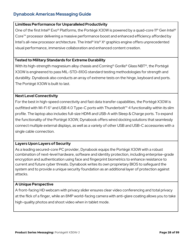### **Limitless Performance for Unparalleled Productivity**

One of the first Intel® Evo® Platforms, the Portégé X30W is powered by a quad-core 11<sup>th</sup> Gen Intel® Core™ processor delivering a massive performance boost and enhanced efficiency afforded by Intel's all-new processor architecture. The Intel® Iris® X<sup>e</sup> graphics engine offers unprecedented visual performance, immersive collaboration and enhanced content creation.

### **Tested to Military Standards for Extreme Durability**

With its high-strength magnesium alloy chassis and Corning® Gorilla® Glass NBT®, the Portégé X30W is engineered to pass MIL-STD-810G standard testing methodologies for strength and durability. Dynabook also conducts an array of extreme tests on the hinge, keyboard and ports. The Portégé X30W is built to last.

### **Next Level Connectivity**

For the best in high-speed connectivity and fast data transfer capabilities, the Portégé X30W is outfitted with Wi-Fi 6<sup>3</sup> and USB 4.0 Type-C ports with Thunderbolt<sup>™</sup> 4 functionality within its slim profile. The laptop also includes full-size HDMI and USB-A with Sleep & Charge ports. To expand the functionality of the Portégé X30W, Dynabook offers wired docking solutions that seamlessly connect multiple external displays, as well as a variety of other USB and USB-C accessories with a single cable connection.

### **Layers Upon Layers of Security**

As a leading secured-core PC provider, Dynabook equips the Portégé X30W with a robust combination of next-level hardware, software and identity protection, including enterprise-grade encryption and authentication using face and fingerprint biometrics to enhance resistance to current and future cyber threats. Dynabook writes its own proprietary BIOS to safeguard the system and to provide a unique security foundation as an additional layer of protection against attacks.

### **A Unique Perspective**

A front-facing HD webcam with privacy slider ensures clear video conferencing and total privacy at the flick of a finger, while an 8MP world-facing camera with anti-glare coating allows you to take high-quality photos and shoot video when in tablet mode.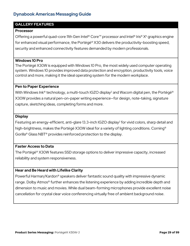### **GALLERY FEATURES**

### **Processor**

Offering a powerful quad-core 11th Gen Intel® Core™ processor and Intel® Iris® X<sup>e</sup> graphics engine for enhanced visual performance, the Portégé® X30 delivers the productivity-boosting speed, security and enhanced connectivity features demanded by modern professionals.

### **Windows 10 Pro**

The Portégé X30W is equipped with Windows 10 Pro, the most widely used computer operating system. Windows 10 provides improved data protection and encryption, productivity tools, voice control and more, making it the ideal operating system for the modern workplace.

### **Pen to Paper Experience**

With Windows Ink® technology, a multi-touch IGZO display<sup>2</sup> and Wacom digital pen, the Portégé® X30W provides a natural pen-on-paper writing experience—for design, note-taking, signature capture, sketching ideas, completing forms and more.

### **Display**

Featuring an energy-efficient, anti-glare 13.3-inch IGZO display<sup>2</sup> for vivid colors, sharp detail and high-brightness, makes the Portégé X30W ideal for a variety of lighting conditions. Corning<sup>®</sup> Gorilla® Glass NBT® provides reinforced protection to the display.

### **Faster Access to Data**

The Portégé® X30W features SSD storage options to deliver impressive capacity, increased reliability and system responsiveness.

### **Hear and Be Heard with Lifelike Clarity**

Powerful Harman/Kardon® speakers deliver fantastic sound quality with impressive dynamic range. Dolby Atmos<sup>®</sup> further enhances the listening experience by adding incredible depth and dimension to music and movies. While dual beam-forming microphones provide excellent noise cancellation for crystal clear voice conferencing virtually free of ambient background noise.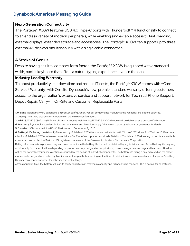### **Next-Generation Connectivity**

The Portégé® X30W features USB 4.0 Type-C ports with Thunderbolt™ 4 functionality to connect to an endless variety of modern peripherals, while enabling single-cable access to fast charging, external displays, extended storage and accessories. The Portégé® X30W can support up to three external 4K displays simultaneously with a single cable connection.

### **A Stroke of Genius**

Despite having an ultra-compact form factor, the Portégé® X30W is equipped with a standardwidth, backlit keyboard that offers a natural typing experience, even in the dark.

### **Industry Leading Warranty**

To boost productivity, cut downtime and reduce IT costs, the Portégé X30W comes with +Care Service<sup>®</sup> Warranty<sup>4</sup> with On-site. Dynabook's new, premier standard warranty offering customers access to the organization's extensive service and support network for Technical Phone Support, Depot Repair, Carry-In, On-Site and Customer Replaceable Parts.

- **1. Weight.** Weight may vary depending on product configuration, vendor components, manufacturing variability and options selected. **2. Display.** The IGZO display is only available on the Full HD configuration.
- **3. Wi-Fi 6.** Wi-Fi 6 (802.11ax) WFA certification is not yet available. Intel® Wi-Fi 6 AX200 Module will be delivered as a pre-certified solution.
- **4. Warranty.** Dynabook's standard limited warranty terms and limitations apply. Visit www.support.dynabook.com/warranty for details.

**5.** Based on 13" laptops with Intel Evo™ Platform as of September 2, 2020.

6. Battery Life Rating. (Notebook) Measured by MobileMark® 2014 for models preinstalled with Microsoft® Windows 7 or Windows 10. Benchmark rules for MobileMark® 2014: Wireless connectivity = On, Predefined updated workloads. Details of MobileMark® 2014 testing protocols are available at www.bapco.com. MobileMark is a U.S. registered trademark of the Business Applications Performance Corporation.

Rating is for comparison purposes only and does not indicate the battery life that will be obtained by any individual user. Actual battery life may vary considerably from specifications depending on product model, configuration, applications, power management settings and features utilized, as well as the natural performance variations produced by the design of individual components. The battery life rating is only achieved on the select models and configurations tested by Toshiba under the specific test settings at the time of publication and is not an estimate of a system's battery life under any conditions other than the specific test settings.

After a period of time, the battery will lose its ability to perform at maximum capacity and will need to be replaced. This is normal for all batteries.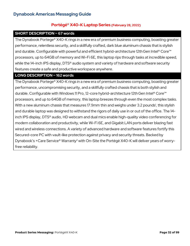# **Portégé® X40-K Laptop Series (February 28, 2022)**

### **SHORT DESCRIPTION ~ 67 words**

The Dynabook Portege® X40-K rings in a new era of premium business computing, boasting greater performance, relentless security, and a skillfully crafted, dark blue aluminum chassis that is stylish and durable. Configurable with powerful and efficient hybrid-architecture 12th Gen Intel® Core<sup>™</sup> processors, up to 64GB of memory and Wi-Fi 6E, this laptop rips through tasks at incredible speed, while the 14-inch IPS display, DTS<sup>®</sup> audio system and variety of hardware and software security features create a safe and productive workspace anywhere.

### **LONG DESCRIPTION ~ 162 words**

The Dynabook Portege® X40-K rings in a new era of premium business computing, boasting greater performance, uncompromising security, and a skillfully crafted chassis that is both stylish and durable. Configurable with Windows 11 Pro, 12-core hybrid-architecture 12thGen Intel® Core™ processors, and up to 64GB of memory, this laptop breezes through even the most complex tasks. With a new aluminum chassis that measures 17.9mm thin and weighs under 3.2 pounds<sup>1</sup>, this stylish and durable laptop was designed to withstand the rigors of daily use in or out of the office. The 14 inch IPS display, DTS® audio, HD webcam and dual mics enable high-quality video conferencing for modern collaboration and productivity, while Wi-Fi 6E, and Gigabit LAN ports deliver blazing fast wired and wireless connections. A variety of advanced hardware and software features fortify this Secured-core PC with vault-like protection against privacy and security threats. Backed by Dynabook's +Care Service® Warranty<sup>2</sup> with On-Site the Portégé X40-K will deliver years of worryfree reliability.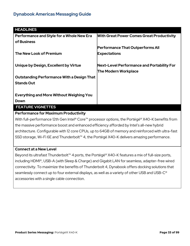| <b>HEADLINES</b>                                  |                                                                                                                                                                                                                                                                                                  |
|---------------------------------------------------|--------------------------------------------------------------------------------------------------------------------------------------------------------------------------------------------------------------------------------------------------------------------------------------------------|
| <b>Performance and Style for a Whole New Era</b>  | <b>With Great Power Comes Great Productivity</b>                                                                                                                                                                                                                                                 |
| of Business                                       |                                                                                                                                                                                                                                                                                                  |
|                                                   | <b>Performance That Outperforms All</b>                                                                                                                                                                                                                                                          |
| The New Look of Premium                           | <b>Expectations</b>                                                                                                                                                                                                                                                                              |
|                                                   |                                                                                                                                                                                                                                                                                                  |
| Unique by Design, Excellent by Virtue             | Next-Level Performance and Portability For                                                                                                                                                                                                                                                       |
|                                                   | <b>The Modern Workplace</b>                                                                                                                                                                                                                                                                      |
| <b>Outstanding Performance With a Design That</b> |                                                                                                                                                                                                                                                                                                  |
| <b>Stands Out</b>                                 |                                                                                                                                                                                                                                                                                                  |
|                                                   |                                                                                                                                                                                                                                                                                                  |
| <b>Everything and More Without Weighing You</b>   |                                                                                                                                                                                                                                                                                                  |
| Down                                              |                                                                                                                                                                                                                                                                                                  |
| <b>FEATURE VIGNETTES</b>                          |                                                                                                                                                                                                                                                                                                  |
| <b>Performance for Maximum Productivity</b>       |                                                                                                                                                                                                                                                                                                  |
| $\mathbf{r}$                                      | $\mathbf{a}$ and $\mathbf{b}$ and $\mathbf{c}$ and $\mathbf{c}$ and $\mathbf{c}$ and $\mathbf{c}$ and $\mathbf{c}$ and $\mathbf{c}$ and $\mathbf{c}$ and $\mathbf{c}$ and $\mathbf{c}$ and $\mathbf{c}$ and $\mathbf{c}$ and $\mathbf{c}$ and $\mathbf{c}$ and $\mathbf{c}$ and $\mathbf{c}$ and |

With full-performance 12th Gen Intel® Core™ processor options, the Portégé® X40-K benefits from the massive performance boost and enhanced efficiency afforded by Intel's all-new hybrid architecture. Configurable with 12 core CPUs, up to 64GB of memory and reinforced with ultra-fast SSD storage, Wi-Fi 6E and Thunderbolt™ 4, the Portégé X40-K delivers amazing performance.

### **Connect at a New Level**

Beyond its ultrafast Thunderbolt™ 4 ports, the Portégé® X40-K features a mix of full-size ports, including HDMI®, USB-A (with Sleep & Charge) and Gigabit LAN for seamless, adapter-free wired connectivity. To maximize the benefits of Thunderbolt 4, Dynabook offers docking solutions that seamlessly connect up to four external displays, as well as a variety of other USB and USB-C<sup>®</sup> accessories with a single cable connection.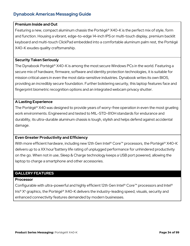### **Premium Inside and Out**

Featuring a new, compact aluminum chassis the Portégé® X40-K is the perfect mix of style, form and function. Housing a vibrant, edge-to-edge 14-inch IPS or multi-touch display, premium backlit keyboard and multi-touch ClickPad embedded into a comfortable aluminum palm rest, the Portégé X40-K exudes quality craftsmanship.

### **Security Taken Seriously**

The Dynabook Portégé® X40-K is among the most secure Windows PCs in the world. Featuring a secure mix of hardware, firmware, software and identity protection technologies, it is suitable for mission critical users in even the most data-sensitive industries. Dynabook writes its own BIOS, providing an incredibly secure foundation. Further bolstering security, this laptop features face and fingerprint biometric recognition options and an integrated webcam privacy shutter.

### **A Lasting Experience**

The Portégé® X40 was designed to provide years of worry-free operation in even the most grueling work environments. Engineered and tested to MIL-STD-810H standards for endurance and durability, its ultra-durable aluminum chassis is tough, stylish and helps defend against accidental damage.

### **Even Greater Productivity and Efficiency**

With more efficient hardware, including new 12th Gen Intel® Core™ processors, the Portégé® X40-K delivers up to a XX hour<sup>3</sup>battery life rating of unplugged performance for unhindered productivity on the go. When not in use, Sleep & Charge technology keeps a USB port powered, allowing the laptop to charge a smartphone and other accessories.

### **GALLERY FEATURES**

### **Processor**

Configurable with ultra-powerful and highly efficient 12th Gen Intel® Core™ processors and Intel® Iris® Xe graphics, the Portégé® X40-K delivers the industry-leading speed, visuals, security and enhanced connectivity features demanded by modern businesses.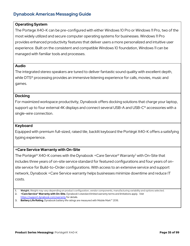### **Operating System**

The Portege X40-K can be pre-configured with either Windows 10 Pro or Windows 11 Pro, two of the most widely utilized and secure computer operating systems for businesses. Windows 11 Pro provides enhanced productivity features that deliver users a more personalized and intuitive user experience. Built on the consistent and compatible Windows 10 foundation, Windows 11 can be managed with familiar tools and processes.

### **Audio**

The integrated stereo speakers are tuned to deliver fantastic sound quality with excellent depth, while DTS<sup>®</sup> processing provides an immersive listening experience for calls, movies, music and games.

### **Docking**

For maximized workspace productivity, Dynabook offers docking solutions that charge your laptop, support up to four external 4K displays and connect several USB-A and USB-C<sup>®</sup> accessories with a single-wire connection.

### **Keyboard**

Equipped with premium full-sized, raised tile, backlit keyboard the Portégé X40-K offers a satisfying typing experience.

### **+Care Service Warranty with On-Site**

The Portégé® X40-K comes with the Dynabook + Care Service® Warranty<sup>2</sup> with On-Site that includes three years of on-site service standard for featured configurations and four years of onsite service for Build-to-Order configurations. With access to an extensive service and support network, Dynabook +Care Service warranty helps businesses minimize downtime and reduce IT costs.

**2. +Care Service® Warranty with On-Site.** Dynabook's standard limited warranty terms and limitations apply. Visit <https://support.dynabook.com/warranty> for details.

**3. Battery Life Rating.** Dynabook battery life ratings are measured with Mobile Mark™ 2018.

**<sup>1.</sup> Weight.** Weight may vary depending on product configuration, vendor components, manufacturing variability and options selected.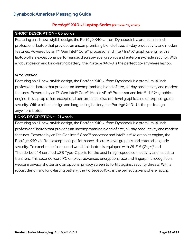## **Portégé® X40-J Laptop Series (October 12, 2020)**

## **SHORT DESCRIPTION ~ 65 words**

Featuring an all-new, stylish design, the Portégé X40-J from Dynabook is a premium 14-inch professional laptop that provides an uncompromising blend of size, all-day productivity and modern features. Powered by an 11<sup>th</sup> Gen Intel® Core<sup>™</sup> processor and Intel® Iris® X<sup>e</sup> graphics engine, this laptop offers exceptional performance, discrete-level graphics and enterprise-grade security. With a robust design and long-lasting battery, the Portégé X40-J is the perfect go-anywhere laptop.

## *vPro Version*

Featuring an all-new, stylish design, the Portégé X40-J from Dynabook is a premium 14-inch professional laptop that provides an uncompromising blend of size, all-day productivity and modern features. Powered by an 11<sup>th</sup> Gen Intel® Core™ Mobile vPro® Processor and Intel® Iris® X<sup>e</sup> graphics engine, this laptop offers exceptional performance, discrete-level graphics and enterprise-grade security. With a robust design and long-lasting battery, the Portégé X40-J is the perfect goanywhere laptop.

## **LONG DESCRIPTION ~ 121 words**

Featuring an all-new, stylish design, the Portégé X40-J from Dynabook is a premium 14-inch professional laptop that provides an uncompromising blend of size, all-day productivity and modern features. Powered by an 11th Gen Intel® Core™ processor and Intel® Iris® Xe graphics engine, the Portégé X40-J offers exceptional performance, discrete-level graphics and enterprise-grade security. To excel in the fast-paced world, this laptop is equipped with Wi-Fi 6 (Gig+)<sup>1</sup> and Thunderbolt™ 4 certified USB Type-C ports for the best in high-speed connectivity and fast data transfers. This secured-core PC employs advanced encryption, face and fingerprint recognition, webcam privacy shutter and an optional privacy screen to fortify against security threats. With a robust design and long-lasting battery, the Portégé X40-J is the perfect go-anywhere laptop.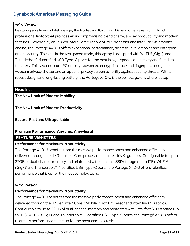### *vPro Version*

Featuring an all-new, stylish design, the Portégé X40-J from Dynabook is a premium 14-inch professional laptop that provides an uncompromising blend of size, all-day productivity and modern features. Powered by an 11<sup>th</sup> Gen Intel® Core™ Mobile vPro® Processor and Intel® Iris® X<sup>e</sup> graphics engine, the Portégé X40-J offers exceptional performance, discrete-level graphics and enterprisegrade security. To excel in the fast-paced world, this laptop is equipped with Wi-Fi 6 (Gig+)<sup>1</sup> and Thunderbolt™ 4 certified USB Type-C ports for the best in high-speed connectivity and fast data transfers. This secured-core PC employs advanced encryption, face and fingerprint recognition, webcam privacy shutter and an optional privacy screen to fortify against security threats. With a robust design and long-lasting battery, the Portégé X40-J is the perfect go-anywhere laptop.

### **Headlines**

## **The New Look of Modern Mobility**

**The New Look of Modern Productivity** 

**Secure, Fast and Ultraportable**

## **Premium Performance, Anytime, Anywhere!**

## **FEATURE VIGNETTES**

## **Performance for Maximum Productivity**

The Portégé X40-J benefits from the massive performance boost and enhanced efficiency delivered through the 11<sup>th</sup> Gen Intel<sup>®</sup> Core processor and Intel<sup>®</sup> Iris  $X<sup>e</sup>$  graphics. Configurable to up to 32GB of dual-channel memory and reinforced with ultra-fast SSD storage (up to 1TB), Wi-Fi 6 (Gig+)1 and Thunderbolt™ 4 certified USB Type-C ports, the Portégé X40-J offers relentless performance that is up for the most complex tasks.

## *vPro Version*

## **Performance for Maximum Productivity**

The Portégé X40-J benefits from the massive performance boost and enhanced efficiency delivered through the 11<sup>th</sup> Gen Intel® Core<sup>™</sup> Mobile vPro® Processor and Intel® Iris X<sup>e</sup> graphics. Configurable to up to 32GB of dual-channel memory and reinforced with ultra-fast SSD storage (up to 1TB), Wi-Fi 6 (Gig+)<sup>1</sup> and Thunderbolt<sup>™</sup> 4 certified USB Type-C ports, the Portégé X40-J offers relentless performance that is up for the most complex tasks.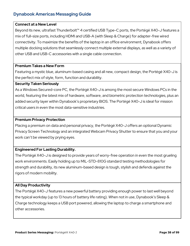### **Connect at a New Level**

Beyond its new, ultrafast Thunderbolt™ 4 certified USB Type-C ports, the Portégé X40-J features a mix of full-size ports, including HDMI and USB-A (with Sleep & Charge) for adapter-free wired connectivity. To maximize the benefits of the laptop in an office environment, Dynabook offers multiple docking solutions that seamlessly connect multiple external displays, as well as a variety of other USB and USB-C accessories with a single cable connection.

### **Premium Takes a New Form**

Featuring a mystic blue, aluminum-based casing and all new, compact design, the Portégé X40-J is the perfect mix of style, form, function and durability.

### **Security Taken Seriously**

As a Windows Secured-core PC, the Portégé X40-J is among the most secure Windows PCs in the world, featuring the latest mix of hardware, software, and biometric protection technologies, plus an added security layer within Dynabook's proprietary BIOS. The Portégé X40-J is ideal for mission critical users in even the most data-sensitive industries.

## **Premium Privacy Protection**

Placing a premium on data and personal privacy, the Portégé X40-J offers an optional Dynamic Privacy Screen Technology and an integrated Webcam Privacy Shutter to ensure that you and your work can't be viewed by prying eyes.

## **Engineered For Lasting Durability.**

The Portégé X40-J is designed to provide years of worry-free operation in even the most grueling work environments. Easily holding up to MIL-STD-810G standard testing methodologies for strength and durability, its new aluminum-based design is tough, stylish and defends against the rigors of modern mobility.

## **All Day Productivity**

The Portégé X40-J features a new powerful battery providing enough power to last well beyond the typical workday (up to 13 hours of battery life rating). When not in use, Dynabook's Sleep & Charge technology keeps a USB port powered, allowing the laptop to charge a smartphone and other accessories.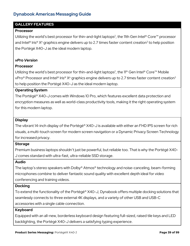## **GALLERY FEATURES**

#### **Processor**

Utilizing the world's best processor for thin-and-light laptops², the 11th Gen Intel® Core™ processor and Intel<sup>®</sup> Iris<sup>®</sup>  $X<sup>e</sup>$  graphics engine delivers up to 2.7 times faster content creation<sup>3</sup> to help position the Portégé X40-J as the ideal modern laptop.

#### *vPro Version*

#### **Processor**

Utilizing the world's best processor for thin-and-light laptops<sup>2</sup>, the 11<sup>th</sup> Gen Intel® Core™ Mobile vPro® Processor and Intel® Iris®  $X^e$  graphics engine delivers up to 2.7 times faster content creation<sup>3</sup> to help position the Portégé X40-J as the ideal modern laptop.

#### **Operating System**

The Portégé® X40-J comes with Windows 10 Pro, which features excellent data protection and encryption measures as well as world-class productivity tools, making it the right operating system for this modern laptop.

#### **Display**

The vibrant 14-inch display of the Portégé® X40-J is available with either an FHD IPS screen for rich visuals, a multi-touch screen for modern screen navigation or a Dynamic Privacy Screen Technology for increased privacy.

#### **Storage**

Premium business laptops shouldn't just be powerful, but reliable too. That is why the Portégé X40- J comes standard with ultra-fast, ultra-reliable SSD storage.

#### **Audio**

The laptop's stereo speakers with Dolby® Atmos® technology and noise-canceling, beam-forming microphones combine to deliver fantastic sound quality with excellent depth ideal for video conferencing and training videos.

#### **Docking**

To extend the functionality of the Portégé® X40-J, Dynabook offers multiple docking solutions that seamlessly connects to three external 4K displays, and a variety of other USB and USB-C accessories with a single cable connection.

#### **Keyboard**

Equipped with an all-new, borderless keyboard design featuring full-sized, raised tile keys and LED backlighting, the Portégé X40-J delivers a satisfying typing experience.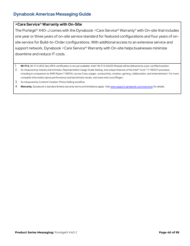### **+Care Service® Warranty with On-Site**

The Portégé® X40-J comes with the Dynabook +Care Service® Warranty<sup>4</sup> with On-site that includes one year or three years of on-site service standard for featured configurations and four years of onsite service for Build-to-Order configurations. With additional access to an extensive service and support network, Dynabook +Care Service® Warranty with On-site helps businesses minimize downtime and reduce IT costs.

- 1. **Wi-Fi 6.** Wi-Fi 6 (802.11ax) WFA certification is not yet available. Intel® Wi-Fi 6 AX200 Module will be delivered as a pre-certified solution.
- 2. As measured by industry benchmarks, Representative Usage Guide testing, and unique features of the Intel® Core™ i7-1185G7 processor, including in comparison to AMD Ryzen 7 4800U, across 5 key usages: productivity, creation, gaming, collaboration, and entertainment. For more complete information about performance and benchmark results, visi[t www.intel.com/11thgen.](http://www.intel.com/11thgen)
- 3. As measured by Content Creation: Photo Editing workflow
- 4. **Warranty.** Dynabook's standard limited warranty terms and limitations apply. Visi[t www.support.dynabook.com/warranty](http://www.support.dynabook.com/warranty) for details.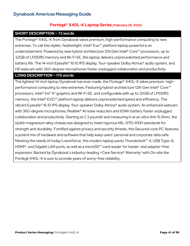## **Portégé® X40L-K Laptop Series (February 28, 2022)**

## **SHORT DESCRIPTION ~ 72 words**

The Portege® X40L-K from Dynabook takes premium, high-performance computing to new extremes. To call this stylish, featherlight, Intel® Evo™ platform laptop powerful is an understatement. Powered by new hybrid-architecture 12thGen Intel® Core™ processors, up to 32GB of LPDDR5 memory and Wi-Fi 6E, this laptop delivers unprecedented performance and battery life. The 14-inch Eyesafe® 16:10 IPS display, four-speaker Dolby Atmos® audio system, and HD webcam with 360-degree microphones foster unplugged collaboration and productivity.

## **LONG DESCRIPTION ~ 176 words**

The lightest 14-inch laptop Dynabook has ever made, the Portege® X40L-K takes premium, highperformance computing to new extremes. Featuring hybrid-architecture 12th Gen Intel® Core™ processors, Intel<sup>®</sup> Iris<sup>®</sup> X<sup>e</sup> graphics and Wi-Fi 6E, and configurable with up to 32GB of LPDDR5 memory, this Intel® EVO™ platform laptop delivers unprecedented speed and efficiency. The vibrant Eyesafe® 16:10 IPS display, four-speaker Dolby Atmos® audio system, AI-enhanced webcam with 360-degree microphones, Realtek<sup>®</sup> AI noise reduction and 65Wh battery foster unplugged collaboration and productivity. Starting at 2.3 pounds<sup>1</sup> and measuring in at an ultra-thin 15.9mm, the stylish magnesium alloy chassis was designed to meet rigorous MIL-STD-810H standards for strength and durability. Fortified against privacy and security threats, this Secured-core PC features a potent mix of hardware and software that help keep users' personal and corporate data safe. Meeting the needs of today's workforce, this modern laptop packs Thunderbolt<sup>™</sup> 4, USB Type-A, HDMI®, and Gigabit LAN ports, as well as a microSD™ card reader for hassle- and adapter-free expansion. Backed by Dynabook's industry-leading +Care Service® Warranty<sup>2</sup> with On-site the Portégé X40L-K is sure to provide years of worry-free reliability.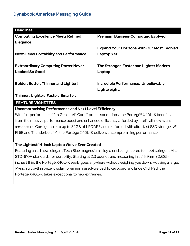| <b>Headlines</b>                              |                                                   |
|-----------------------------------------------|---------------------------------------------------|
| <b>Computing Excellence Meets Refined</b>     | <b>Premium Business Computing Evolved</b>         |
| <b>Elegance</b>                               |                                                   |
|                                               | <b>Expand Your Horizons With Our Most Evolved</b> |
| <b>Next-Level Portability and Performance</b> | Laptop Yet                                        |
|                                               |                                                   |
| <b>Extraordinary Computing Power Never</b>    | The Stronger, Faster and Lighter Modern           |
| <b>Looked So Good</b>                         | Laptop                                            |
|                                               |                                                   |
| <b>Bolder, Better, Thinner and Lighter!</b>   | Incredible Performance. Unbelievably              |
|                                               | Lightweight.                                      |
| Thinner. Lighter. Faster. Smarter.            |                                                   |
| <b>FEATURE VIGNETTES</b>                      |                                                   |

**Uncompromising Performance and Next Level Efficiency**

With full-performance 12th Gen Intel® Core™ processor options, the Portégé® X40L-K benefits from the massive performance boost and enhanced efficiency afforded by Intel's all-new hybrid architecture. Configurable to up to 32GB of LPDDR5 and reinforced with ultra-fast SSD storage, Wi-Fi 6E and Thunderbolt™ 4, the Portégé X40L-K delivers uncompromising performance.

## **The Lightest 14-Inch Laptop We've Ever Created**

Featuring an-all new, elegant Tech Blue magnesium alloy chassis engineered to meet stringent MIL-STD-810H standards for durability. Starting at 2.3 pounds and measuring in at 15.9mm (0.625 inches) thin, the Portégé X40L-K easily goes anywhere without weighing you down. Housing a large, 14-inch ultra-thin bezel display, premium raised-tile backlit keyboard and large ClickPad, the Portégé X40L-K takes exceptional to new extremes.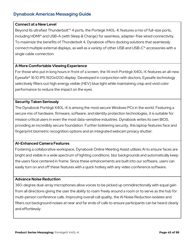## **Connect at a New Level**

Beyond its ultrafast Thunderbolt™ 4 ports, the Portégé X40L-K features a mix of full-size ports, including HDMI® and USB-A (with Sleep & Charge) for seamless, adapter-free wired connectivity. To maximize the benefits of Thunderbolt 4, Dynabook offers docking solutions that seamlessly connect multiple external displays, as well as a variety of other USB and USB-C® accessories with a single cable connection.

## **A More Comfortable Viewing Experience**

For those who put in long hours in front of a screen, the 14-inch Portégé X40L-K features an all-new Eyesafe® 16:10 IPS 1920x1200 display. Developed in conjunction with doctors, Eyesafe technology selectively filters out high energy visible (HEV) blue light while maintaining crisp and vivid color performance to reduce the impact on the eyes.

## **Security Taken Seriously**

The Dynabook Portégé X40L-K is among the most secure Windows PCs in the world. Featuring a secure mix of hardware, firmware, software, and identity protection technologies, it is suitable for mission critical users in even the most data-sensitive industries. Dynabook writes its own BIOS, providing an incredibly secure foundation. Further bolstering security, this laptop features face and fingerprint biometric recognition options and an integrated webcam privacy shutter.

## **AI-Enhanced Camera Features**

Fostering a collaborative workspace, Dynabook Online Meeting Assist utilizes AI to ensure faces are bright and visible in a wide spectrum of lighting conditions, blur backgrounds and automatically keep the users face centered in frame. Since these enhancements are built into our software, users can easily turn on and off these features with a quick hotkey with any video conference software.

## **Advance Noise Reduction**

360-degree dual-array microphones allow voices to be picked up omnidirectionally with equal gain from all directions giving the user the ability to roam freely around a room or to serve as the hub for multi-person conference calls. Improving overall call quality, the AI Noise Reduction isolates and filters out background noises at near and far ends of calls to ensure participants can be heard clearly and effortlessly.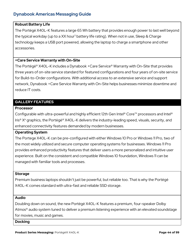## **Robust Battery Life**

The Portégé X40L-K features a large 65 Wh battery that provides enough power to last well beyond the typical workday (up to a XX hour<sup>3</sup> battery life rating). When not in use, Sleep & Charge technology keeps a USB port powered, allowing the laptop to charge a smartphone and other accessories.

## **+Care Service Warranty with On-Site**

The Portégé® X40L-K includes a Dynabook +Care Service® Warranty with On-Site that provides three years of on-site service standard for featured configurations and four years of on-site service for Build-to-Order configurations. With additional access to an extensive service and support network, Dynabook +Care Service Warranty with On-Site helps businesses minimize downtime and reduce IT costs.

## **GALLERY FEATURES**

## **Processor**

Configurable with ultra-powerful and highly efficient 12th Gen Intel® Core™ processors and Intel® Iris® X<sup>e</sup> graphics, the Portégé® X40L-K delivers the industry-leading speed, visuals, security, and enhanced connectivity features demanded by modern businesses.

#### **Operating System**

The Portege X40L-K can be pre-configured with either Windows 10 Pro or Windows 11 Pro, two of the most widely utilized and secure computer operating systems for businesses. Windows 11 Pro provides enhanced productivity features that deliver users a more personalized and intuitive user experience. Built on the consistent and compatible Windows 10 foundation, Windows 11 can be managed with familiar tools and processes.

#### **Storage**

Premium business laptops shouldn't just be powerful, but reliable too. That is why the Portégé X40L-K comes standard with ultra-fast and reliable SSD storage.

#### **Audio**

Doubling down on sound, the new Portégé X40L-K features a premium, four-speaker Dolby Atmos® audio system tuned to deliver a premium listening experience with an elevated soundstage for movies, music and games.

#### **Docking**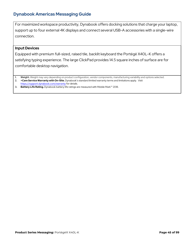For maximized workspace productivity, Dynabook offers docking solutions that charge your laptop, support up to four external 4K displays and connect several USB-A accessories with a single-wire connection.

### **Input Devices**

Equipped with premium full-sized, raised tile, backlit keyboard the Portégé X40L-K offers a satisfying typing experience. The large ClickPad provides 14.5 square inches of surface are for comfortable desktop navigation.

- **1. Weight.** Weight may vary depending on product configuration, vendor components, manufacturing variability and options selected.
- **2. +Care Service Warranty with On-Site.** Dynabook's standard limited warranty terms and limitations apply. Visit <https://support.dynabook.com/warranty> for details.
- **3. Battery Life Rating.** Dynabook battery life ratings are measured with Mobile Mark™ 2018.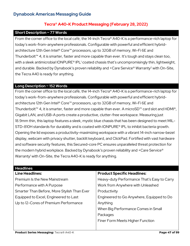## **Tecra® A40-K Product Messaging (February 28, 2022)**

## **Short Description ~ 77 Words**

From the corner office to the local café, the 14-inch Tecra® A40-K is a performance-rich laptop for today's work-from-anywhere professionals. Configurable with powerful and efficient hybridarchitecture 12th Gen Intel® Core™ processors, up to 32GB of memory, Wi-Fi 6E and Thunderbolt™ 4, it is smarter, faster and more capable than ever. It's tough and stays clean too, with a sleek antimicrobial IONPURE® IPL<sup>1</sup> coated chassis that's uncompromisingly thin, lightweight, and durable. Backed by Dynabook's proven reliability and +Care Service<sup>®</sup> Warranty<sup>2</sup> with On-Site, the Tecra A40 is ready for anything.

### **Long Description ~ 152 Words**

From the corner office to the local café, the 14-inch Tecra® A40-K is a performance-rich laptop for today's work-from-anywhere professionals. Configurable with powerful and efficient hybridarchitecture 12th Gen Intel® Core™ processors, up to 32GB of memory, Wi-Fi 6E and Thunderbolt™ 4, it is smarter, faster and more capable than ever. A microSD™ card slot and HDMI®, Gigabit LAN, and USB-A ports create a productive, clutter-free workspace. Measuring just 18.9mm thin, this laptop features a sleek, mystic blue chassis that has been designed to meet MIL-STD-810H standards for durability and is coated with IONPURE<sup>®</sup> IPL to inhibit bacteria growth. Opening the lid exposes a productivity-maximizing workspace with a vibrant 14-inch narrow-bezel display, webcam with privacy shutter, backlit keyboard, and ClickPad. Fortified with vast hardware and software security features, this Secured-core PC ensures unparalleled threat protection for the modern hybrid workplace. Backed by Dynabook's proven reliability and +Care Service® Warranty<sup>1</sup> with On-Site, the Tecra A40-K is ready for anything.

| <b>Headlines</b>                            |                                             |
|---------------------------------------------|---------------------------------------------|
| <b>Line Headlines:</b>                      | <b>Product Specific Headlines:</b>          |
| <b>Premium Is the New Mainstream</b>        | Heavy-duty Performance That's Easy to Carry |
| Performance with A Purpose                  | Work from Anywhere with Unleashed           |
| Smarter Than Before, More Stylish Than Ever | Productivity                                |
| Equipped to Excel, Engineered to Last       | Engineered to Go Anywhere, Equipped to Do   |
| Up to 12-Cores of Premium Performance       | Anything                                    |
|                                             | When Big Performance Comes in Small         |
|                                             | Packages                                    |
|                                             | Finer Form Meets Higher Function            |
|                                             |                                             |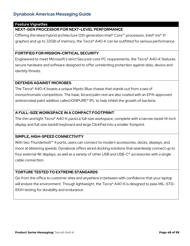### **Feature Vignettes**

## **NEXT-GEN PROCESSOR FOR NEXT-LEVEL PERFORMANCE**

Offering the latest hybrid architecture 12th generation Intel® Core™ processors, Intel® Iris® X<sup>e</sup> graphics and up to 32GB of memory, the Tecra® A40-K can be outfitted for serious performance.

## **FORTIFIED FOR MISSION-CRITICAL SECURITY**

Engineered to meet Microsoft's strict Secured-core PC requirements, the Tecra® A40-K features secure hardware and software designed to offer unrelenting protection against data, device and identity threats.

### **DEFENDS AGAINST MICROBES**

The Tecra® A40-K boasts a unique Mystic Blue chassis that stands out from a sea of monochromatic competitors. The base, lid and palm rest are also coated with an EPA-approved antimicrobial paint additive called IONPURE® IPL to help inhibit the growth of bacteria.

## **A FULL-SIZE WORKSPACE IN A COMPACT FOOTPRINT**

The thin and light Tecra® A40-K packs a full-size workspace, complete with a narrow-bezel 14-inch display and full-size backlit keyboard and large ClickPad into a smaller footprint.

## **SIMPLE, HIGH-SPEED CONNECTIVITY**

With two Thunderbolt<sup>™</sup> 4 ports, users can connect to modern accessories, docks, displays, and more at blistering speeds. Dynabook offers wired docking solutions that seamlessly connect up to four external 4K displays, as well as a variety of other USB and USB-C® accessories with a single cable connection.

#### **TORTURE TESTED TO EXTREME STANDARDS**

Go from the office to customer sites and anywhere in between with confidence that your laptop will endure the environment. Though lightweight, the Tecra® A40-K is designed to pass MIL-STD-810H testing for durability and endurance.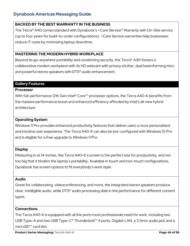## **BACKED BY THE BEST WARRANTY IN THE BUSINESS**

The Tecra® A40 comes standard with Dynabook's +Care Service® Warranty with On-Site service (up to four years for build-to-order configurations). +Care Service warranties help businesses reduce IT costs by minimizing laptop downtime.

## **MASTERING THE MODERN HYBRID WORKPLACE**

Beyond its go-anywhere portability and unrelenting security, the Tecra® A40 fosters a collaborative modern workplace with its HD webcam with privacy shutter, dual beamforming mics and powerful stereo speakers with DTS® audio enhancement.

## **Gallery Features**

## **Processor**

With full-performance 12th Gen Intel® Core™ processor options, the Tecra A40-K benefits from the massive performance boost and enhanced efficiency afforded by Intel's all-new hybrid architecture.

## **Operating System**

Windows 11 Pro provides enhanced productivity features that deliver users a more personalized and intuitive user experience. The Tecra A40-K can also be pre-configured with Windows 10 Pro and is eligible for a free upgrade to Windows 11 Pro.

## **Display**

Measuring in at 14-inches, the Tecra A40-K's screen is the perfect size for productivity, and not too big that it hinders the laptop's portability. Available in touch and non-touch configurations, Dynabook has screen options to fit everybody's work style.

## **Audio**

Great for collaborating, videoconferencing, and more, the integrated stereo speakers produce clear, intelligible audio, while DTS® audio processing dials in the performance for different content types.

## **Connections**

The Tecra A40-K is equipped with all the ports most professionals need for work, including two USB Type-A and two USB Type-C® Thunderbolt™ 4 ports, Gigabit LAN, a 3.5mm audio jack and a microSD™ card slot.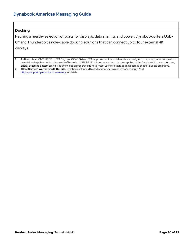### **Docking**

Packing a healthy selection of ports for displays, data sharing, and power, Dynabook offers USB-C® and Thunderbolt single-cable docking solutions that can connect up to four external 4K displays.

- **1. Antimicrobial.** IONPURE® IPL (EPA Reg. No. 731148-3) is an EPA-approved antimicrobial substance designed to be incorporated into various materials to help them inhibit the growth of bacteria. IONPURE IPL is incorporated into the paint applied to the Dynabook lid cover, palm rest, display bezel and bottom casing. The antimicrobial properties do not protect users or others against bacteria or other disease organisms.
- **2. +Care Service® Warranty with On-Site.** Dynabook's standard limited warranty terms and limitations apply. Visit <https://support.dynabook.com/warranty> for details.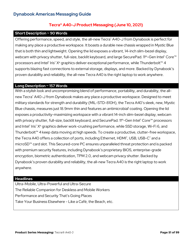## **Tecra® A40-J Product Messaging (June 10, 2021)**

## **Short Description ~ 90 Words**

Offering performance, speed, and style, the all-new Tecra® A40-J from Dynabook is perfect for making any place a productive workspace. It boasts a durable new chassis wrapped in Mystic Blue that is both thin and lightweight. Opening the lid exposes a vibrant, 14-inch slim-bezel display, webcam with privacy shutter, full-size, backlit keyboard, and large SecurePad. 11<sup>th</sup>-Gen Intel® Core<sup>™</sup> processors and Intel® Iris® X<sup>e</sup> graphics deliver exceptional performance, while Thunderbolt™ 4 supports blazing fast connections to external storage, displays, and more. Backed by Dynabook's proven durability and reliability, the all-new Tecra A40 is the right laptop to work anywhere.

## **Long Description ~ 157 Words**

With a stylish look and uncompromising blend of performance, portability, and durability, the allnew Tecra® A40-J from Dynabook makes any place a productive workspace. Designed to meet military standards for strength and durability (MIL-STD-810H), the Tecra A40's sleek, new, Mystic Blue chassis, measures just 18.9mm thin and features an antimicrobial<sup>i</sup> coating. Opening the lid exposes a productivity-maximizing workspace with a vibrant 14-inch slim-bezel display, webcam with privacy shutter, full-size, backlit keyboard, and SecurePad. 11<sup>th</sup>-Gen Intel® Core<sup>™</sup> processors and Intel® Iris® X® graphics deliver work-crushing performance, while SSD storage, Wi-Fi 6, and Thunderbolt™ 4 keep data moving at high speeds. To create a productive, clutter-free workspace, the Tecra A40 offers a collection of ports, including Ethernet, HDMI®, USB, USB-C® and a microSD™ card slot. This Secured-core PC ensures unparalleled threat protection and is packed with premium security features, including Dynabook's proprietary BIOS, enterprise-grade encryption, biometric authentication, TPM 2.0, and webcam privacy shutter. Backed by Dynabook's proven durability and reliability, the all-new Tecra A40 is the right laptop to work anywhere.

### **Headlines**

Ultra-Mobile, Ultra-Powerful and Ultra-Secure The Reliable Companion for Deskless and Mobile Workers Performance and Security That's Going Places Take Your Business Elsewhere - Like a Café, the Beach, etc.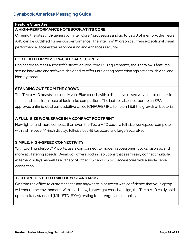### **Feature Vignettes**

## **A HIGH-PERFORMANCE NOTEBOOK AT ITS CORE**

Offering the latest 11th-generation Intel® Core™ processors and up to 32GB of memory, the Tecra A40 can be outfitted for serious performance. The Intel® Iris®  $X^e$  graphics offers exceptional visual performance, accelerates AI processing and enhances security.

## **FORTIFIED FOR MISSION-CRITICAL SECURITY**

Engineered to meet Microsoft's strict Secured-core PC requirements, the Tecra A40 features secure hardware and software designed to offer unrelenting protection against data, device, and identity threats.

## **STANDING OUT FROM THE CROWD**

The Tecra A40 boasts a unique Mystic Blue chassis with a distinctive raised wave detail on the lid that stands out from a sea of look-alike competitors. The laptops also incorporate an EPAapproved antimicrobial paint additive called IONPURE<sup>®</sup> IPL<sup>1</sup> to help inhibit the growth of bacteria.

## **A FULL-SIZE WORKSPACE IN A COMPACT FOOTPRINT**

Now lighter and more compact than ever, the Tecra A40 packs a full-size workspace, complete with a slim-bezel 14-inch display, full-size backlit keyboard and large SecurePad.

## **SIMPLE, HIGH-SPEED CONNECTIVITY**

With two Thunderbolt<sup>™</sup> 4 ports, users can connect to modern accessories, docks, displays, and more at blistering speeds. Dynabook offers docking solutions that seamlessly connect multiple external displays, as well as a variety of other USB and USB-C<sup>®</sup> accessories with a single cable connection.

## **TORTURE TESTED TO MILITARY STANDARDS**

Go from the office to customer sites and anywhere in between with confidence that your laptop will endure the environment. With an all-new, lightweight chassis design, the Tecra A40 easily holds up to military standard (MIL-STD-810H) testing for strength and durability.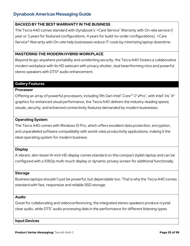## **BACKED BY THE BEST WARRANTY IN THE BUSINESS**

The Tecra A40 comes standard with Dynabook's +Care Service® Warranty with On-site service (1 year or 3 years for featured configurations, 4 years for build-to-order configurations). +Care Service® Warranty with On-site help businesses reduce IT costs by minimizing laptop downtime.

### **MASTERING THE MODERN HYBRID WORKPLACE**

Beyond its go-anywhere portability and unrelenting security, the Tecra A40 fosters a collaborative modern workplace with its HD webcam with privacy shutter, dual beamforming mics and powerful stereo speakers with DTS® audio enhancement.

### **Gallery Features**

#### **Processor**

Offering an array of powerful processors, including 11th Gen Intel® Core™ i7 vPro®, with Intel® Iris® X° graphics for enhanced visual performance, the Tecra A40 delivers the industry-leading speed, visuals, security, and enhanced connectivity features demanded by modern businesses.

## **Operating System**

The Tecra A40 comes with Windows 10 Pro, which offers excellent data protection, encryption, and unparalleled software compatibility with world-class productivity applications, making it the ideal operating system for modern business.

#### **Display**

A vibrant, slim-bezel 14-inch HD display comes standard on this compact stylish laptop and can be configured with a 1080p multi-touch display or dynamic privacy screen for additional functionally.

#### **Storage**

Business laptops shouldn't just be powerful, but dependable too. That is why the Tecra A40 comes standard with fast, responsive and reliable SSD storage.

#### **Audio**

Great for collaborating and videoconferencing, the integrated stereo speakers produce crystal clear audio, while DTS<sup>®</sup> audio processing dials in the performance for different listening types.

**Input Devices**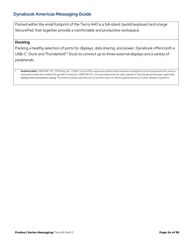Packed within the small footprint of the Tecra A40 is a full-sized, backlit keyboard and a large SecurePad, that together provide a comfortable and productive workspace.

### **Docking**

Packing a healthy selection of ports for displays, data sharing, and power, Dynabook offers both a USB-C<sup>®</sup> Dock and Thunderbolt<sup>™</sup> Dock to connect up to three external displays and a variety of peripherals.

1. **Antimicrobial.** IONPURE® IPL (EPA Reg. No. 731148-3) is an EPA-approved antimicrobial substance designed to be incorporated into various materials to help them inhibit the growth of bacteria. IONPURE IPL is incorporated into the paint applied to the Dynabook lid cover, palm rest, display bezel and bottom casing. The antimicrobial properties do not protect users or others against bacteria or other disease organisms.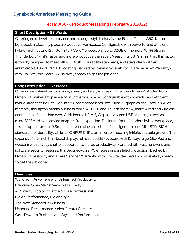## **Tecra® A50-K Product Messaging (February 28,2022)**

#### **Short Description ~ 83 Words**

Offering next-level performance and a tough, stylish chassis, the 15-inch Tecra® A50-K from Dynabook makes any place a productive workspace. Configurable with powerful and efficient hybrid-architecture 12th Gen Intel® Core™ processors, up to 32GB of memory, Wi-Fi 6E and Thunderbolt™ 4, it's faster and more productive than ever. Measuring just 19.9mm thin, this laptop is tough, designed to meet MIL-STD-810H durability standards, and stays clean with an antimicrobial IONPURE® IPL1 coating. Backed by Dynabook reliability +Care Service® Warranty2 with On-Site, the Tecra A50 is always ready to get the job done.

### **Long Description ~ 157 Words**

Offering next-level performance, speed, and a stylish design, the 15-inch Tecra® A50-K from Dynabook makes any place a productive workspace. Configurable with powerful and efficient hybrid-architecture 12th Gen Intel® Core™ processors, Intel® Iris® X<sup>e</sup> graphics and up to 32GB of memory, this laptop means business, while Wi-Fi 6E and Thunderbolt™ 4, make wired and wireless connections faster than ever. Additionally, HDMI®, Gigabit LAN and USB-A ports, as well as a microSD™ card slot provide adapter-free expansion. Designed for the modern hybrid workplace, this laptop features a 19.9mm thin mystic blue chassis that's designed to pass MIL-STD-810H standards for durability, while its IONPURE<sup>®</sup> IPL<sup>1</sup> antimicrobial coating inhibits bacteria growth. The expansive 15.6-inch thin-bezel display, full-size backlit keyboard with 10-key, large ClickPad and webcam with privacy shutter support untethered productivity. Fortified with vast hardware and software security features, this Secured-core PC ensures unparalleled protection. Backed by Dynabook reliability and  $+$ Care Service® Warranty<sup>2</sup> with On-Site, the Tecra A50-K is always ready to get the job done.

#### **Headlines**

Work from Anywhere with Unleashed Productivity Premium Goes Mainstream In a BIG Way A Powerful Toolbox for the Mobile Professional Big on Performance, Big on Style The New Standard In Business Unbound Performance Yields Greater Success Gets Down to Business with Style and Performance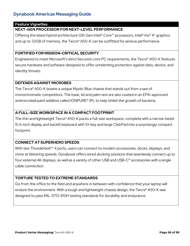### **Feature Vignettes**

## **NEXT-GEN PROCESSOR FOR NEXT-LEVEL PERFORMANCE**

Offering the latest hybrid architecture 12th Gen Intel® Core™ processors, Intel® Iris® X<sup>e</sup> graphics and up to 32GB of memory, the Tecra® A50-K can be outfitted for serious performance.

## **FORTIFIED FOR MISSION-CRITICAL SECURITY**

Engineered to meet Microsoft's strict Secured-core PC requirements, the Tecra® A50-K features secure hardware and software designed to offer unrelenting protection against data, device, and identity threats.

### **DEFENDS AGAINST MICROBES**

The Tecra® A50-K boasts a unique Mystic Blue chassis that stands out from a sea of monochromatic competitors. The base, lid and palm rest are also coated in an EPA-approved antimicrobial paint additive called IONPURE® IPL to help inhibit the growth of bacteria.

## **A FULL-SIZE WORKSPACE IN A COMPACT FOOTPRINT**

The thin and lightweight Tecra® A50-K packs a full-size workspace, complete with a narrow-bezel 15.6-inch display and backlit keyboard with 10-key and large ClickPad into a surprisingly compact footprint.

## **CONNECT AT SUPERHERO SPEEDS**

With two Thunderbolt<sup>™</sup> 4 ports, users can connect to modern accessories, docks, displays, and more at blistering speeds. Dynabook offers wired docking solutions that seamlessly connect up to four external 4K displays, as well as a variety of other USB and USB-C® accessories with a single cable connection.

## **TORTURE TESTED TO EXTREME STANDARDS**

Go from the office to the field and anywhere in between with confidence that your laptop will endure the environment. With a tough and lightweight chassis design, the Tecra® A50-K was designed to pass MIL-STD-810H testing standards for durability and endurance.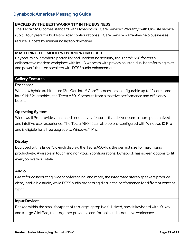### **BACKED BY THE BEST WARRANTY IN THE BUSINESS**

The Tecra® A50 comes standard with Dynabook's +Care Service® Warranty<sup>2</sup> with On-Site service (up to four years for build-to-order configurations). +Care Service warranties help businesses reduce IT costs by minimizing laptop downtime.

## **MASTERING THE MODERN HYBRID WORKPLACE**

Beyond its go-anywhere portability and unrelenting security, the Tecra® A50 fosters a collaborative modern workplace with its HD webcam with privacy shutter, dual beamforming mics and powerful stereo speakers with DTS® audio enhancement.

## **Gallery Features**

#### **Processor**

With new hybrid architecture 12th Gen Intel® Core™ processors, configurable up to 12 cores, and Intel<sup>®</sup> Iris<sup>®</sup>  $X<sup>e</sup>$  graphics, the Tecra A50-K benefits from a massive performance and efficiency boost.

## **Operating System**

Windows 11 Pro provides enhanced productivity features that deliver users a more personalized and intuitive user experience. The Tecra A50-K can also be pre-configured with Windows 10 Pro and is eligible for a free upgrade to Windows 11 Pro.

#### **Display**

Equipped with a large 15.6-inch display, the Tecra A50-K is the perfect size for maximizing productivity. Available in touch and non-touch configurations, Dynabook has screen options to fit everybody's work style.

#### **Audio**

Great for collaborating, videoconferencing, and more, the integrated stereo speakers produce clear, intelligible audio, while DTS® audio processing dials in the performance for different content types.

#### **Input Devices**

Packed within the small footprint of this large laptop is a full-sized, backlit keyboard with 10-key and a large ClickPad, that together provide a comfortable and productive workspace.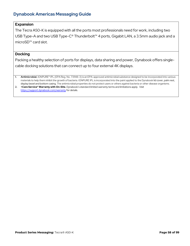## **Expansion**

The Tecra A50-K is equipped with all the ports most professionals need for work, including two USB Type-A and two USB Type-C® Thunderbolt™ 4 ports, Gigabit LAN, a 3.5mm audio jack and a microSD™ card slot.

#### **Docking**

Packing a healthy selection of ports for displays, data sharing and power, Dynabook offers singlecable docking solutions that can connect up to four external 4K displays.

**1. Antimicrobial.** IONPURE® IPL (EPA Reg. No. 731148-3) is an EPA-approved antimicrobial substance designed to be incorporated into various materials to help them inhibit the growth of bacteria. IONPURE IPL is incorporated into the paint applied to the Dynabook lid cover, palm rest, display bezel and bottom casing. The antimicrobial properties do not protect users or others against bacteria or other disease organisms.

**2. +Care Service® Warranty with On-Site.** Dynabook's standard limited warranty terms and limitations apply. Visit <https://support.dynabook.com/warranty> for details.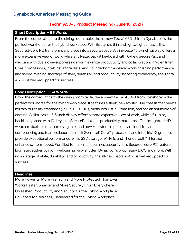## **Tecra® A50-J Product Messaging (June 10, 2021)**

## **Short Description ~ 96 Words**

From the corner office to the dining room table, the all-new Tecra® A50-J from Dynabook is the perfect workhorse for the hybrid workplace. With its stylish, thin and lightweight chassis, this Secured-core PC transforms any place into a secure space. A slim-bezel 15.6-inch display offers a more expansive view of work, while a full-size, backlit keyboard with 10-key, SecurePad, and webcam with dual noise-suppressing mics maximize productivity and collaboration. 11<sup>th</sup>-Gen Intel<sup>®</sup> Core™ processors, Intel® Iris® X<sup>e</sup> graphics, and Thunderbolt™ 4 deliver work-crushing performance and speed. With no shortage of style, durability, and productivity-boosting technology, the Tecra A50-J is well-equipped for success.

## **Long Description ~ 154 Words**

From the corner office to the dining room table, the all-new Tecra® A50-J from Dynabook is the perfect workhorse for the hybrid workplace. It features a sleek, new Mystic Blue chassis that meets military durability standards (MIL-STD-810H), measures just 19.9mm thin, and has an antimicrobial<sup>1</sup> coating. A slim-bezel 15.6-inch display offers a more expansive view of work, while a full-size, backlit keyboard with 10-key, and SecurePad keeps productivity maximized. The integrated HD webcam, dual noise-suppressing mics and powerful stereo speakers are ideal for video conferencing and team collaboration. 11th Gen Intel® Core™ processors and Intel® Iris® X® graphics provide exceptional performance, while SSD storage, Wi-Fi 6, and Thunderbolt™ 4 further enhance system speed. Fortified for maximum business security, this Secured-core PC features biometric authentication, webcam privacy shutter, Dynabook's proprietary BIOS and more. With no shortage of style, durability, and productivity, the all-new Tecra A50-J is well-equipped for success.

#### **Headlines**

More Powerful, More Premium and More Protected Than Ever! Works Faster, Smarter and More Securely From Everywhere Unleashed Productivity and Security for the Hybrid Workplace Equipped for Business, Engineered for the Hybrid Workplace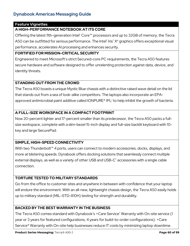## **Feature Vignettes**

## **A HIGH-PERFORMANCE NOTEBOOK AT ITS CORE**

Offering the latest 11th-generation Intel® Core™ processors and up to 32GB of memory, the Tecra A50 can be outfitted for serious performance. The Intel® Iris®  $X^e$  graphics offers exceptional visual performance, accelerates AI processing and enhances security.

## **FORTIFIED FOR MISSION-CRITICAL SECURITY**

Engineered to meet Microsoft's strict Secured-core PC requirements, the Tecra A50 features secure hardware and software designed to offer unrelenting protection against data, device, and identity threats.

## **STANDING OUT FROM THE CROWD**

The Tecra A50 boasts a unique Mystic Blue chassis with a distinctive raised wave detail on the lid that stands out from a sea of look-alike competitors. The laptops also incorporate an EPAapproved antimicrobial paint additive called IONPURE<sup>®</sup> IPL<sup>1</sup> to help inhibit the growth of bacteria.

## **A FULL-SIZE WORKSPACE IN A COMPACT FOOTPRINT**

Now 20-percent lighter and 17-percent smaller than its predecessor, the Tecra A50 packs a fullsize workspace, complete with a slim-bezel 15-inch display and full-size backlit keyboard with 10 key and large SecurePad.

## **SIMPLE, HIGH-SPEED CONNECTIVITY**

With two Thunderbolt<sup>™</sup> 4 ports, users can connect to modern accessories, docks, displays, and more at blistering speeds. Dynabook offers docking solutions that seamlessly connect multiple external displays, as well as a variety of other USB and USB-C<sup>®</sup> accessories with a single cable connection.

## **TORTURE TESTED TO MILITARY STANDARDS**

Go from the office to customer sites and anywhere in between with confidence that your laptop will endure the environment. With an all-new, lightweight chassis design, the Tecra A50 easily holds up to military standard (MIL-STD-810H) testing for strength and durability.

## **BACKED BY THE BEST WARRANTY IN THE BUSINESS**

The Tecra A50 comes standard with Dynabook's +Care Service® Warranty with On-site service (1 year or 3 years for featured configurations, 4 years for build-to-order configurations). +Care Service® Warranty with On-site help businesses reduce IT costs by minimizing laptop downtime.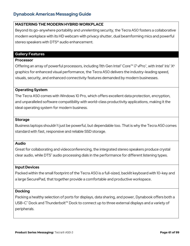## **MASTERING THE MODERN HYBRID WORKPLACE**

Beyond its go-anywhere portability and unrelenting security, the Tecra A50 fosters a collaborative modern workplace with its HD webcam with privacy shutter, dual beamforming mics and powerful stereo speakers with DTS<sup>®</sup> audio enhancement.

## **Gallery Features**

#### **Processor**

Offering an array of powerful processors, including 11th Gen Intel® Core™ i7 vPro®, with Intel® Iris® X° graphics for enhanced visual performance, the Tecra A50 delivers the industry-leading speed, visuals, security, and enhanced connectivity features demanded by modern businesses.

## **Operating System**

The Tecra A50 comes with Windows 10 Pro, which offers excellent data protection, encryption, and unparalleled software compatibility with world-class productivity applications, making it the ideal operating system for modern business.

## **Storage**

Business laptops shouldn't just be powerful, but dependable too. That is why the Tecra A50 comes standard with fast, responsive and reliable SSD storage.

## **Audio**

Great for collaborating and videoconferencing, the integrated stereo speakers produce crystal clear audio, while DTS<sup>®</sup> audio processing dials in the performance for different listening types.

## **Input Devices**

Packed within the small footprint of the Tecra A50 is a full-sized, backlit keyboard with 10-key and a large SecurePad, that together provide a comfortable and productive workspace.

## **Docking**

Packing a healthy selection of ports for displays, data sharing, and power, Dynabook offers both a USB-C<sup>®</sup> Dock and Thunderbolt™ Dock to connect up to three external displays and a variety of peripherals.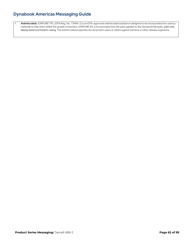1. **Antimicrobial.** IONPURE® IPL (EPA Reg. No. 731148-3) is an EPA-approved antimicrobial substance designed to be incorporated into various materials to help them inhibit the growth of bacteria. IONPURE IPL is incorporated into the paint applied to the Dynabook lid cover, palm rest, display bezel and bottom casing. The antimicrobial properties do not protect users or others against bacteria or other disease organisms.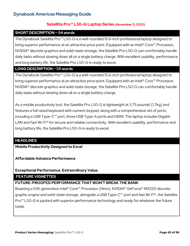## **Satellite Pro™ L50-G Laptop Series (November 11, 2020)**

### **SHORT DESCRIPTION ~ 54 words**

The Dynabook Satellite Pro™ L50-G is a well-rounded 15.6-inch professional laptop designed to bring superior performance at an attractive price point. Equipped with an Intel<sup>®</sup> Core<sup>™</sup> Processor, NVIDIA® discrete graphics and solid-state storage, the Satellite Pro L50-G can comfortably handle daily tasks without slowing down all on a single battery charge. With excellent usability, performance and long battery life, the Satellite Pro L50-G is ready to excel.

## **LONG DESCRIPTION ~ 131 words**

The Dynabook Satellite Pro™ L50-G is a well-rounded 15.6-inch professional laptop designed to bring superior performance at an attractive price point. Equipped with an Intel<sup>®</sup> Core<sup>™</sup> Processor, NVIDIA® discrete graphics and solid-state storage, the Satellite Pro L50-G can comfortably handle daily tasks without slowing down all on a single battery charge.

As a mobile productivity tool, the Satellite Pro L50-G is lightweight at 3.75 pounds<sup>1</sup> (1.7kg) and features a full-sized keyboard with numeric keypad, along with a comprehensive set of ports, including a USB Type-C™ port, three USB Type-A ports and HDMI. The laptop includes Gigabit LAN and fast Wi-Fi<sup>®</sup> for secure and reliable connectivity. With excellent usability, performance and long battery life, the Satellite Pro L50-G is ready to excel.

## **HEADLINES**

**Mobile Productivity Designed to Excel**

**Affordable Advance Performance**

## **Exceptional Performance. Extraordinary Value.**

## **FEATURE VIGNETTES**

## **FUTURE-PROOFED PERFORMANCE THAT WON'T BREAK THE BANK**

Boasting a 10th generation Intel® Core™ Processor (14nm), NVIDIA® GeForce® MX250 discrete graphic engine and solid-state storage, alongside a USB Type-C<sup>™</sup> port and fast Wi-Fi®, the Satellite Pro<sup>™</sup> L50-G is packed with superior performance technology and ready for whatever the future holds.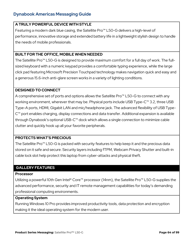## **A TRULY POWERFUL DEVICE WITH STYLE**

Featuring a modern dark blue casing, the Satellite Pro™ L50-G delivers a high-level of performance, innovative storage and extended battery life in a lightweight stylish design to handle the needs of mobile professionals.

## **BUILT FOR THE OFFICE, MOBILE WHEN NEEDED**

The Satellite Pro™ L50-G is designed to provide maximum comfort for a full day of work. The fullsized keyboard with a numeric keypad provides a comfortable typing experience, while the large click pad featuring Microsoft Precision Touchpad technology makes navigation quick and easy and a generous 15.6-inch anti-glare screen works in a variety of lighting conditions.

## **DESIGNED TO CONNECT**

A comprehensive set of ports and options allows the Satellite Pro<sup>™</sup> L50-G to connect with any working environment, wherever that may be. Physical ports include USB Type-C™ 3.2, three USB Type-A ports, HDMI, Gigabit LAN and mic/headphone jack. The advanced flexibility of USB Type-C™ port enables charging, display connections and data transfer. Additional expansion is available through Dynabook's optional USB-C™ dock which allows a single connection to minimize cable clutter and quickly hook up all your favorite peripherals.

## **PROTECTS WHAT'S PRECIOUS**

The Satellite Pro™ L50-G is packed with security features to help keep it and the precious data stored on it safe and secure. Security layers including fTPM, Webcam Privacy Shutter and built-in cable lock slot help protect this laptop from cyber-attacks and physical theft.

## **GALLERY FEATURES**

## **Processor**

Utilizing a powerful 10th Gen Intel® Core™ processor (14nm), the Satellite Pro™ L50-G supplies the advanced performance, security and IT remote management capabilities for today's demanding professional computing environments.

#### **Operating System**

Running Windows 10 Pro provides improved productivity tools, data protection and encryption making it the ideal operating system for the modern user.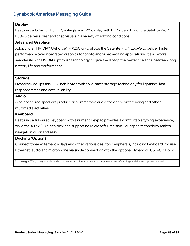## **Display**

Featuring a 15.6-inch Full HD, anti-glare eDP™ display with LED side lighting, the Satellite Pro™ L50-G delivers clear and crisp visuals in a variety of lighting conditions.

### **Advanced Graphics**

Adopting an NVIDIA® GeForce® MX250 GPU allows the Satellite Pro<sup>™</sup> L50-G to deliver faster performance over integrated graphics for photo and video-editing applications. It also works seamlessly with NVIDIA Optimus® technology to give the laptop the perfect balance between long battery life and performance.

### **Storage**

Dynabook equips this 15.6-inch laptop with solid-state storage technology for lightning-fast response times and data reliability.

#### **Audio**

A pair of stereo speakers produce rich, immersive audio for videoconferencing and other multimedia activities.

### **Keyboard**

Featuring a full-sized keyboard with a numeric keypad provides a comfortable typing experience,

while the 4.13 x 3.02 inch click pad supporting Microsoft Precision Touchpad technology makes

navigation quick and easy.

## **Docking (Option)**

Connect three external displays and other various desktop peripherals, including keyboard, mouse, Ethernet, audio and microphone via single connection with the optional Dynabook USB-C™ Dock.

1. **Weight.** Weight may vary depending on product configuration, vendor components, manufacturing variability and options selected.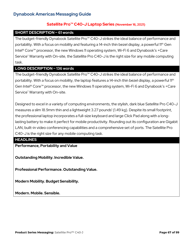## **Satellite Pro™ C40-J Laptop Series (November 16, 2021)**

#### **SHORT DESCRIPTION ~ 61 words**

The budget-friendly Dynabook Satellite Pro™ C40-J strikes the ideal balance of performance and portability. With a focus on mobility and featuring a 14-inch thin bezel display, a powerful 11<sup>th</sup> Gen Intel® Core™ processor, the new Windows 11 operating system, Wi-Fi 6 and Dynabook's +Care Service® Warranty with On-site, the Satellite Pro C40-J is the right size for any mobile computing task.

## **LONG DESCRIPTION ~ 136 words**

The budget-friendly Dynabook Satellite Pro™ C40-J strikes the ideal balance of performance and portability. With a focus on mobility, the laptop features a 14-inch thin bezel display, a powerful 11<sup>th</sup> Gen Intel® Core™ processor, the new Windows 11 operating system, Wi-Fi 6 and Dynabook's +Care Service<sup>®</sup> Warranty with On-site.

Designed to excel in a variety of computing environments, the stylish, dark blue Satellite Pro C40-J measures a slim 18.9mm thin and a lightweight 3.27 pounds<sup>1</sup> (1.49 kg). Despite its small footprint, the professional laptop incorporates a full-size keyboard and large Click Pad along with a longlasting battery to make it perfect for mobile productivity. Rounding out its configuration are Gigabit LAN, built-in video conferencing capabilities and a comprehensive set of ports. The Satellite Pro C40-J is the right size for any mobile computing task.

## **HEADLINES**

**Performance, Portability and Value**

**Outstanding Mobility. Incredible Value.**

**Professional Performance. Outstanding Value.**

**Modern Mobility. Budget Sensibility.** 

**Modern. Mobile. Sensible.**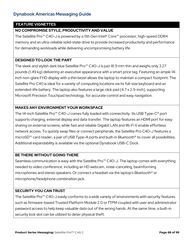## **FEATURE VIGNETTES**

## **NO COMPROMISE STYLE, PRODUCTIVITY AND VALUE**

The Satellite Pro™ C40-J is powered by a 11th Gen Intel® Core™ processor, high-speed DDR4 memory and an ultra-reliable solid-state drive to provide increased productivity and performance for demanding workloads while delivering uncompromising battery life.

### **DESIGNED TO LOOK THE PART**

The sleek and stylish dark blue Satellite Pro™ C40-J is just 18.9 mm thin and weighs only 3.27 pounds (1.49 kg) delivering an executive appearance with a smart price tag. Featuring an ample 14 inch non-glare FHD display with a thin bezel allows the laptop to maintain a compact footprint. The Satellite Pro C40 is ideal for a variety of computing locations via its full-size keyboard and an extended-life battery. The laptop also features a large click pad (4.7 x 2.9-inch), supporting Microsoft Precision Touchpad technology, for accurate control and easy navigation.

## **MAKES ANY ENVIRONMENT YOUR WORKSPACE**

The 14-inch Satellite Pro<sup>™</sup> C40-J comes fully loaded with connectivity. Its USB Type-C<sup>®</sup> port supports charging, external display and data transfer. The laptop features an HDMI port for easy sharing on external screens, while fast and reliable Gigabit LAN and Wi-Fi 6 enable effortless network access. To quickly swap files or connect peripherals, the Satellite Pro C40-J features a microSD™ card reader, a pair of USB Type-A ports and built-in Bluetooth® to cover all possibilities. Additional expandability is available via the optional Dynabook USB-C Dock.

## **BE THERE WITHOUT GOING THERE**

Seamless communication is easy with the Satellite Pro™ C40-J. The laptop comes with everything needed to video conference, including an HD webcam, noise-canceling, beamforming microphones and stereo speakers. Or connect a headset via the laptop's Bluetooth® or microphone/headphone combination jack.

## **SECURITY YOU CAN TRUST**

The Satellite Pro™ C40-J easily conforms to a wide variety of environments with security features such as firmware-based Trusted Platform Module 2.0 or fTPM coupled with user and administrator password access to help keep valuable data out of the wrong hands. At the same time, a built-in security lock slot can be utilized to deter physical theft.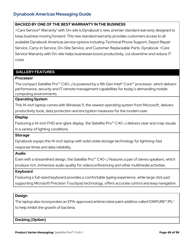### **BACKED BY ONE OF THE BEST WARRANTY IN THE BUSINESS**

+Care Service® Warranty3 with On-site is Dynabook's new, premier standard warranty designed to keep business moving forward. This new standard warranty provides customers access to all available Dynabook Americas service options including Technical Phone Support, Depot Repair Service, Carry-In Service, On-Site Service, and Customer Replaceable Parts. Dynabook +Care Service Warranty with On-site helps businesses boost productivity, cut downtime and reduce IT costs

## **GALLERY FEATURES**

#### **Processor**

The compact Satellite Pro™ C40-J is powered by a 11th Gen Intel® Core™ processor, which delivers performance, security and IT remote management capabilities for today's demanding mobile computing environments.

#### **Operating System**

This 14-inch laptop comes with Windows 11, the newest operating system from Microsoft, delivers productivity tools, data protection and encryption measures for the modern user.

#### **Display**

Featuring a 14-inch FHD anti-glare display, the Satellite Pro™ C40-J delivers clear and crisp visuals in a variety of lighting conditions.

#### **Storage**

Dynabook equips this 14-inch laptop with solid-state storage technology for lightning-fast response times and data reliability.

#### **Audio**

Even with a streamlined design, the Satellite Pro™ C40-J features a pair of stereo speakers, which produce rich, immersive audio quality for videoconferencing and other multimedia activities.

#### **Keyboard**

Featuring a full-sized keyboard provides a comfortable typing experience, while large click pad supporting Microsoft Precision Touchpad technology, offers accurate control and easy navigation.

#### **Design**

The laptop also incorporates an EPA-approved antimicrobial paint additive called IONPURE<sup>®</sup> IPL<sup>2</sup> to help inhibit the growth of bacteria.

**Docking (Option)**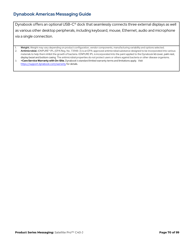Dynabook offers an optional USB-C® dock that seamlessly connects three external displays as well as various other desktop peripherals, including keyboard, mouse, Ethernet, audio and microphone via a single connection.

1. **Weight.** Weight may vary depending on product configuration, vendor components, manufacturing variability and options selected. 2. **Antimicrobial.** IONPURE® IPL (EPA Reg. No. 731148-3) is an EPA-approved antimicrobial substance designed to be incorporated into various materials to help them inhibit the growth of bacteria. IONPURE IPL is incorporated into the paint applied to the Dynabook lid cover, palm rest, display bezel and bottom casing. The antimicrobial properties do not protect users or others against bacteria or other disease organisms.

3. **+Care Service Warranty with On-Site.** Dynabook's standard limited warranty terms and limitations apply. Visit <https://support.dynabook.com/warranty> for details.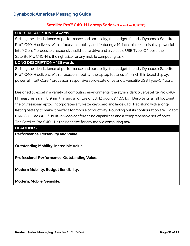## **Satellite Pro™ C40-H Laptop Series (November 11, 2020)**

#### **SHORT DESCRIPTION ~ 61 words**

Striking the ideal balance of performance and portability, the budget-friendly Dynabook Satellite Pro™ C40-H delivers. With a focus on mobility and featuring a 14-inch thin bezel display, powerful Intel® Core™ processor, responsive solid-state drive and a versatile USB Type-C™ port, the Satellite Pro C40-H is the right size for any mobile computing task.

## **LONG DESCRIPTION ~ 136 words**

Striking the ideal balance of performance and portability, the budget-friendly Dynabook Satellite Pro™ C40-H delivers. With a focus on mobility, the laptop features a 14-inch thin bezel display, powerful Intel® Core™ processor, responsive solid-state drive and a versatile USB Type-C™ port.

Designed to excel in a variety of computing environments, the stylish, dark blue Satellite Pro C40- H measures a slim 18.9mm thin and a lightweight 3.42 pounds<sup>1</sup> (1.55 kg). Despite its small footprint, the professional laptop incorporates a full-size keyboard and large Click Pad along with a longlasting battery to make it perfect for mobile productivity. Rounding out its configuration are Gigabit LAN, 802.11ac Wi-Fi®, built-in video conferencing capabilities and a comprehensive set of ports. The Satellite Pro C40-H is the right size for any mobile computing task.

## **HEADLINES**

**Performance, Portability and Value**

**Outstanding Mobility. Incredible Value.**

**Professional Performance. Outstanding Value.**

**Modern Mobility. Budget Sensibility.** 

**Modern. Mobile. Sensible.**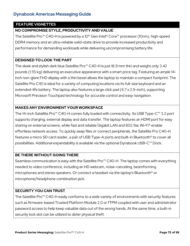## **FEATURE VIGNETTES**

## **NO COMPROMISE STYLE, PRODUCTIVITY AND VALUE**

The Satellite Pro<sup>™</sup> C40-H is powered by a 10<sup>th</sup> Gen Intel® Core™ processor (10nm), high-speed DDR4 memory and an ultra-reliable solid-state drive to provide increased productivity and performance for demanding workloads while delivering uncompromising battery life.

#### **DESIGNED TO LOOK THE PART**

The sleek and stylish dark blue Satellite Pro™ C40-H is just 18.9 mm thin and weighs only 3.42 pounds (1.55 kg) delivering an executive appearance with a smart price tag. Featuring an ample 14 inch non-glare FHD display with a thin bezel allows the laptop to maintain a compact footprint. The Satellite Pro C40 is ideal for a variety of computing locations via its full-size keyboard and an extended-life battery. The laptop also features a large click pad (4.7 x 2.9-inch), supporting Microsoft Precision Touchpad technology for accurate control and easy navigation.

## **MAKES ANY ENVIRONMENT YOUR WORKSPACE**

The 14-inch Satellite Pro™ C40-H comes fully loaded with connectivity. Its USB Type-C™ 3.2 port supports charging, external display and data transfer. The laptop features an HDMI port for easy sharing on external screens, while fast and reliable Gigabit LAN and 802.11ac Wi-Fi® enable effortless network access. To quickly swap files or connect peripherals, the Satellite Pro C40-H features a micro SD card reader, a pair of USB Type-A ports and built-in Bluetooth® to cover all possibilities. Additional expandability is available via the optional Dynabook USB-C™ Dock.

# **BE THERE WITHOUT GOING THERE**

Seamless communication is easy with the Satellite Pro™ C40-H. The laptop comes with everything needed to video conference, including an HD webcam, noise-canceling, beamforming microphones and stereo speakers. Or connect a headset via the laptop's Bluetooth® or microphone/headphone combination jack.

#### **SECURITY YOU CAN TRUST**

The Satellite Pro™ C40-H easily conforms to a wide variety of environments with security features such as firmware-based Trusted Platform Module 2.0 or fTPM coupled with user and administrator password access to help keep valuable data out of the wrong hands. At the same time, a built-in security lock slot can be utilized to deter physical theft.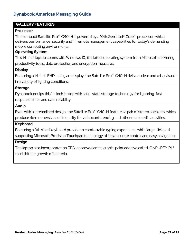## **GALLERY FEATURES**

#### **Processor**

The compact Satellite Pro™ C40-H is powered by a 10th Gen Intel® Core™ processor, which delivers performance, security and IT remote management capabilities for today's demanding mobile computing environments.

#### **Operating System**

This 14-inch laptop comes with Windows 10, the latest operating system from Microsoft delivering productivity tools, data protection and encryption measures.

#### **Display**

Featuring a 14-inch FHD anti-glare display, the Satellite Pro™ C40-H delivers clear and crisp visuals in a variety of lighting conditions.

#### **Storage**

Dynabook equips this 14-inch laptop with solid-state storage technology for lightning-fast response times and data reliability.

#### **Audio**

Even with a streamlined design, the Satellite Pro™ C40-H features a pair of stereo speakers, which produce rich, immersive audio quality for videoconferencing and other multimedia activities.

#### **Keyboard**

Featuring a full-sized keyboard provides a comfortable typing experience, while large click pad supporting Microsoft Precision Touchpad technology offers accurate control and easy navigation.

#### **Design**

The laptop also incorporates an EPA-approved antimicrobial paint additive called IONPURE<sup>®</sup> IPL<sup>2</sup> to inhibit the growth of bacteria.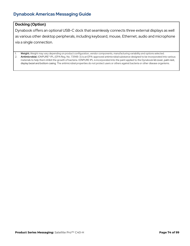# **Docking (Option)**

Dynabook offers an optional USB-C dock that seamlessly connects three external displays as well as various other desktop peripherals, including keyboard, mouse, Ethernet, audio and microphone via a single connection.

1. **Weight.** Weight may vary depending on product configuration, vendor components, manufacturing variability and options selected. 2. **Antimicrobial.** IONPURE® IPL (EPA Reg. No. 731148-3) is an EPA-approved antimicrobial substance designed to be incorporated into various materials to help them inhibit the growth of bacteria. IONPURE IPL is incorporated into the paint applied to the Dynabook lid cover, palm rest, display bezel and bottom casing. The antimicrobial properties do not protect users or others against bacteria or other disease organisms.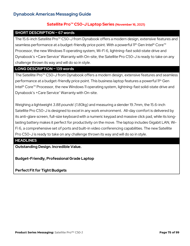# **Satellite Pro™ C50-J Laptop Series (November 16, 2021)**

#### **SHORT DESCRIPTION ~ 67 words**

The 15.6-inch Satellite Pro™ C50-J from Dynabook offers a modern design, extensive features and seamless performance at a budget-friendly price point. With a powerful 11<sup>th</sup> Gen Intel® Core<sup>™</sup> Processor, the new Windows 11 operating system, Wi-Fi 6, lightning-fast solid-state drive and Dynabook's + Care Service® Warranty with On-site, the Satellite Pro C50-J is ready to take on any challenge thrown its way and will do so in style.

#### **LONG DESCRIPTION ~ 139 words**

The Satellite Pro™ C50-J from Dynabook offers a modern design, extensive features and seamless performance at a budget-friendly price point. This business laptop features a powerful 11th Gen Intel® Core<sup>™</sup> Processor, the new Windows 11 operating system, lightning-fast solid-state drive and Dynabook's +Care Service<sup>®</sup> Warranty with On-site.

Weighing a lightweight 3.88 pounds<sup>1</sup> (1.80kg) and measuring a slender 19.7mm, the 15.6-inch Satellite Pro C50-J is designed to excel in any work environment. All-day comfort is delivered by its anti-glare screen, full-size keyboard with a numeric keypad and massive click pad, while its longlasting battery makes it perfect for productivity on the move. The laptop includes Gigabit LAN, Wi-Fi 6, a comprehensive set of ports and built-in video conferencing capabilities. The new Satellite Pro C50-J is ready to take on any challenge thrown its way and will do so in style.

## **HEADLINES**

**Outstanding Design. Incredible Value.**

**Budget-Friendly, Professional Grade Laptop** 

**Perfect Fit for Tight Budgets**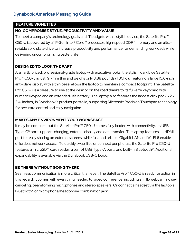## **FEATURE VIGNETTES**

# **NO-COMPROMISE STYLE, PRODUCTIVITY AND VALUE**

To meet a company's technology goals and IT budgets with a stylish device, the Satellite Pro™ C50-J is powered by a 11<sup>th</sup> Gen Intel® Core<sup>™</sup> processor, high-speed DDR4 memory and an ultrareliable solid state drive to increase productivity and performance for demanding workloads while delivering uncompromising battery life.

#### **DESIGNED TO LOOK THE PART**

A smartly priced, professional-grade laptop with executive looks, the stylish, dark blue Satellite Pro™ C50-J is just 19.7mm thin and weighs only 3.88 pounds (1.80kg). Featuring a large 15.6-inch anti-glare display with a thin bezel allows the laptop to maintain a compact footprint. The Satellite Pro C50-J is a pleasure to use at the desk or on the road thanks to its full-size keyboard with numeric keypad and an extended-life battery. The laptop also features the largest click pad (5.2 x 3.4-inches) in Dynabook's product portfolio, supporting Microsoft Precision Touchpad technology for accurate control and easy navigation.

## **MAKES ANY ENVIRONMENT YOUR WORKSPACE**

It may be compact, but the Satellite Pro<sup>™</sup> C50-J comes fully loaded with connectivity. Its USB Type-C® port supports charging, external display and data transfer. The laptop features an HDMI port for easy sharing on external screens, while fast and reliable Gigabit LAN and Wi-Fi 6 enable effortless network access. To quickly swap files or connect peripherals, the Satellite Pro C50-J features a microSD™ card reader, a pair of USB Type-A ports and built-in Bluetooth®. Additional expandability is available via the Dynabook USB-C Dock.

#### **BE THERE WITHOUT GOING THERE**

Seamless communication is more critical than ever. The Satellite Pro<sup>™</sup> C50-J is ready for action in this regard. It comes with everything needed to video conference, including an HD webcam, noisecanceling, beamforming microphones and stereo speakers. Or connect a headset via the laptop's Bluetooth® or microphone/headphone combination jack.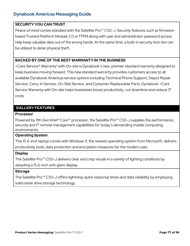### **SECURITY YOU CAN TRUST**

Peace of mind comes standard with the Satellite Pro<sup>™</sup> C50-J. Security features such as firmwarebased Trusted Platform Module 2.0 or fTPM along with user and administrator password access help keep valuable data out of the wrong hands. At the same time, a built-in security lock slot can be utilized to deter physical theft.

## **BACKED BY ONE OF THE BEST WARRANTY IN THE BUSINESS**

+Care Service® Warranty3 with On-site is Dynabook's new, premier standard warranty designed to keep business moving forward. This new standard warranty provides customers access to all available Dynabook Americas service options including Technical Phone Support, Depot Repair Service, Carry-In Service, On-Site Service, and Customer Replaceable Parts. Dynabook +Care Service Warranty with On-site helps businesses boost productivity, cut downtime and reduce IT costs

## **GALLERY FEATURES**

#### **Processor**

Powered by 11th Gen Intel® Core™ processor, the Satellite Pro™ C50-J supplies the performance, security and IT remote management capabilities for today's demanding mobile computing environments.

#### **Operating System**

This 15.6-inch laptop comes with Windows 11, the newest operating system from Microsoft, delivers productivity tools, data protection and encryption measures for the modern user.

#### **Display**

The Satellite Pro™ C50-J delivers clear and crisp visuals in a variety of lighting conditions by adopting a 15.6-inch anti-glare display.

#### **Storage**

The Satellite Pro™ C50-J offers lightning-quick response times and data reliability by employing solid-state drive storage technology.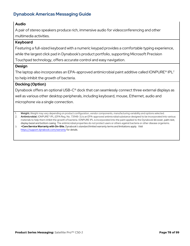# **Audio**

A pair of stereo speakers produce rich, immersive audio for videoconferencing and other multimedia activities.

## **Keyboard**

Featuring a full-sized keyboard with a numeric keypad provides a comfortable typing experience,

while the largest click pad in Dynabook's product portfolio, supporting Microsoft Precision

Touchpad technology, offers accurate control and easy navigation.

## **Design**

The laptop also incorporates an EPA-approved antimicrobial paint additive called IONPURE<sup>®</sup> IPL<sup>2</sup> to help inhibit the growth of bacteria.

# **Docking (Option)**

Dynabook offers an optional USB-C® dock that can seamlessly connect three external displays as well as various other desktop peripherals, including keyboard, mouse, Ethernet, audio and microphone via a single connection.

1. **Weight.** Weight may vary depending on product configuration, vendor components, manufacturing variability and options selected.

2. **Antimicrobial.** IONPURE® IPL (EPA Reg. No. 731148-3) is an EPA-approved antimicrobial substance designed to be incorporated into various materials to help them inhibit the growth of bacteria. IONPURE IPL is incorporated into the paint applied to the Dynabook lid cover, palm rest, display bezel and bottom casing. The antimicrobial properties do not protect users or others against bacteria or other disease organisms. 3. **+Care Service Warranty with On-Site.** Dynabook's standard limited warranty terms and limitations apply. Visit

<https://support.dynabook.com/warranty> for details.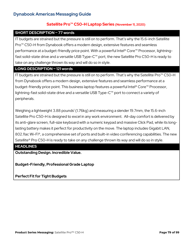# **Satellite Pro™ C50-H Laptop Series (November 11, 2020)**

#### **SHORT DESCRIPTION ~ 77 words**

IT budgets are strained but the pressure is still on to perform. That's why the 15.6-inch Satellite Pro<sup>™</sup> C50-H from Dynabook offers a modern design, extensive features and seamless performance at a budget-friendly price point. With a powerful Intel® Core™ Processor, lightningfast solid-state drive and a versatile USB Type-C™ port, the new Satellite Pro C50-H is ready to take on any challenge thrown its way and will do so in style.

#### **LONG DESCRIPTION ~ 121 words**

IT budgets are strained but the pressure is still on to perform. That's why the Satellite Pro™ C50-H from Dynabook offers a modern design, extensive features and seamless performance at a budget-friendly price point. This business laptop features a powerful Intel® Core™ Processor, lightning-fast solid-state drive and a versatile USB Type-C™ port to connect a variety of peripherals.

Weighing a lightweight  $3.88$  pounds<sup>1</sup> (1.76kg) and measuring a slender 19.7mm, the 15.6-inch Satellite Pro C50-H is designed to excel in any work environment. All-day comfort is delivered by its anti-glare screen, full-size keyboard with a numeric keypad and massive Click Pad, while its longlasting battery makes it perfect for productivity on the move. The laptop includes Gigabit LAN, 802.11ac Wi-Fi®, a comprehensive set of ports and built-in video conferencing capabilities. The new Satellite® Pro C50-H is ready to take on any challenge thrown its way and will do so in style.

### **HEADLINES**

**Outstanding Design. Incredible Value.**

**Budget-Friendly, Professional Grade Laptop** 

**Perfect Fit for Tight Budgets**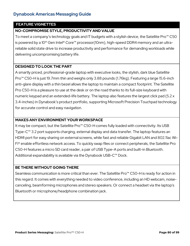## **FEATURE VIGNETTES**

# **NO-COMPROMISE STYLE, PRODUCTIVITY AND VALUE**

To meet a company's technology goals and IT budgets with a stylish device, the Satellite Pro™ C50 is powered by a 10<sup>th</sup> Gen Intel<sup>®</sup> Core<sup>™</sup> processor(10nm), high-speed DDR4 memory and an ultrareliable solid state drive to increase productivity and performance for demanding workloads while delivering uncompromising battery life.

## **DESIGNED TO LOOK THE PART**

A smartly priced, professional-grade laptop with executive looks, the stylish, dark blue Satellite Pro<sup>™</sup> C50-H is just 19.7mm thin and weighs only 3.88 pounds (1.76kg). Featuring a large 15.6-inch anti-glare display with a thin bezel allows the laptop to maintain a compact footprint. The Satellite Pro C50-H is a pleasure to use at the desk or on the road thanks to its full-size keyboard with numeric keypad and an extended-life battery. The laptop also features the largest click pad (5.2 x 3.4-inches) in Dynabook's product portfolio, supporting Microsoft Precision Touchpad technology for accurate control and easy navigation.

## **MAKES ANY ENVIRONMENT YOUR WORKSPACE**

It may be compact, but the Satellite Pro™ C50-H comes fully loaded with connectivity. Its USB Type-C™ 3.2 port supports charging, external display and data transfer. The laptop features an HDMI port for easy sharing on external screens, while fast and reliable Gigabit LAN and 802.11ac Wi-Fi® enable effortless network access. To quickly swap files or connect peripherals, the Satellite Pro C50-H features a micro SD card reader, a pair of USB Type-A ports and built-in Bluetooth. Additional expandability is available via the Dynabook USB-C™ Dock.

#### **BE THERE WITHOUT GOING THERE**

Seamless communication is more critical than ever. The Satellite Pro<sup>™</sup> C50-H is ready for action in this regard. It comes with everything needed to video conference, including an HD webcam, noisecanceling, beamforming microphones and stereo speakers. Or connect a headset via the laptop's Bluetooth or microphone/headphone combination jack.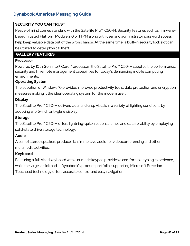## **SECURITY YOU CAN TRUST**

Peace of mind comes standard with the Satellite Pro<sup>™</sup> C50-H. Security features such as firmwarebased Trusted Platform Module 2.0 or fTPM along with user and administrator password access help keep valuable data out of the wrong hands. At the same time, a built-in security lock slot can be utilized to deter physical theft.

# **GALLERY FEATURES**

#### **Processor**

Powered by 10th Gen Intel® Core<sup>™</sup> processor, the Satellite Pro<sup>™</sup> C50-H supplies the performance, security and IT remote management capabilities for today's demanding mobile computing environments.

#### **Operating System**

The adoption of Windows 10 provides improved productivity tools, data protection and encryption measures making it the ideal operating system for the modern user.

#### **Display**

The Satellite Pro™ C50-H delivers clear and crisp visuals in a variety of lighting conditions by adopting a 15.6-inch anti-glare display.

#### **Storage**

The Satellite Pro™ C50-H offers lightning-quick response times and data reliability by employing solid-state drive storage technology.

#### **Audio**

A pair of stereo speakers produce rich, immersive audio for videoconferencing and other multimedia activities.

#### **Keyboard**

Featuring a full-sized keyboard with a numeric keypad provides a comfortable typing experience,

while the largest click pad in Dynabook's product portfolio, supporting Microsoft Precision

Touchpad technology offers accurate control and easy navigation.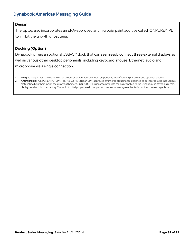# **Design**

The laptop also incorporates an EPA-approved antimicrobial paint additive called IONPURE<sup>®</sup> IPL<sup>2</sup> to inhibit the growth of bacteria.

#### **Docking (Option)**

Dynabook offers an optional USB-C™ dock that can seamlessly connect three external displays as well as various other desktop peripherals, including keyboard, mouse, Ethernet, audio and microphone via a single connection.

1. **Weight.** Weight may vary depending on product configuration, vendor components, manufacturing variability and options selected. 2. **Antimicrobial.** IONPURE® IPL (EPA Reg. No. 731148-3) is an EPA-approved antimicrobial substance designed to be incorporated into various materials to help them inhibit the growth of bacteria. IONPURE IPL is incorporated into the paint applied to the Dynabook lid cover, palm rest, display bezel and bottom casing. The antimicrobial properties do not protect users or others against bacteria or other disease organisms.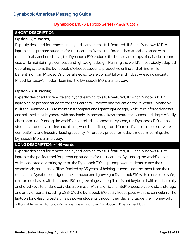# **Dynabook E10-S Laptop Series (March 17, 2021)**

# **SHORT DESCRIPTION**

#### **Option 1: (79 words)**

Expertly designed for remote and hybrid learning, this full-featured, 11.6-inch Windows 10 Pro laptop helps prepare students for their careers. With a reinforced chassis and keyboard with mechanically anchored keys, the Dynabook E10 endures the bumps and drops of daily classroom use, while maintaining a compact and lightweight design. Running the world's most widely adopted operating system, the Dynabook E10 keeps students productive online and offline, while benefitting from Microsoft's unparalleled software compatibility and industry-leading security. Priced for today's modern learning, the Dynabook E10 is a smart buy.

## **Option 2: (88 words)**

Expertly designed for remote and hybrid learning, this full-featured, 11.6-inch Windows 10 Pro laptop helps prepare students for their careers. Empowering education for 35 years, Dynabook built the Dynabook E10 to maintain a compact and lightweight design, while its reinforced chassis and spill-resistant keyboard with mechanically anchored keys endure the bumps and drops of daily classroom use. Running the world's most relied-on operating system, the Dynabook E10 keeps students productive online and offline, while benefitting from Microsoft's unparalleled software compatibility and industry-leading security. Affordably priced for today's modern learning, the Dynabook E10 is a smart buy.

#### **LONG DESCRIPTION ~ 149 words**

Expertly designed for remote and hybrid learning, this full-featured, 11.6-inch Windows 10 Pro laptop is the perfect tool for preparing students for their careers. By running the world's most widely adopted operating system, the Dynabook E10 helps empower students to ace their schoolwork, online and offline. Backed by 35 years of helping students get the most from their education, Dynabook designed the compact and lightweight Dynabook E10 with a backpack-safe, reinforced chassis with bumpers, 180-degree hinges and spill-resistant keyboard with mechanically anchored keys to endure daily classroom use. With its efficient Intel® processor, solid state storage and array of ports, including USB-C®, the Dynabook E10 easily keeps pace with the curriculum. The laptop's long-lasting battery helps power students through their day and tackle their homework. Affordably priced for today's modern learning, the Dynabook E10 is a smart buy.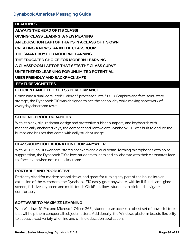# **HEADLINES**

**ALWAYS THE HEAD OF ITS CLASS!** 

**GIVING 'CLASS LEADING' A NEW MEANING**

**AN EDUCATION LAPTOP THAT'S IN A CLASS OF ITS OWN**

**CREATING A NEW STAR IN THE CLASSROOM**

**THE SMART BUY FOR MODERN LEARNING**

**THE EDUCATED CHOICE FOR MODERN LEARNING**

**A CLASSROOM LAPTOP THAT SETS THE CLASS CURVE**

**UNTETHERED LEARNING FOR UNLIMITED POTENTIAL**

**USER FRIENDLY AND BACKPACK SAFE**

## **FEATURE VIGNETTES**

## **EFFICIENT AND EFFORTLESS PERFORMANCE**

Combining a dual-core Intel® Celeron® processor, Intel® UHD Graphics and fast, solid-state storage, the Dynabook E10 was designed to ace the school day while making short work of everyday classroom tasks.

## **STUDENT-PROOF DURABILITY**

With its sleek, slip-resistant design and protective rubber bumpers, and keyboards with mechanically anchored keys, the compact and lightweight Dynabook E10 was built to endure the bumps and bruises that come with daily student usage.

# **CLASSROOM COLLABORATION FROM ANYWHERE**

With Wi-Fi®, an HD webcam, stereo speakers and a dual beam-forming microphones with noise suppression, the Dynabook E10 allows students to learn and collaborate with their classmates faceto-face, even when not in the classroom.

#### **PORTABLE AND PRODUCTIVE**

Perfectly sized for modern school desks, and great for turning any part of the house into an extension of the classroom, the Dynabook E10 easily goes anywhere, with its 11.6-inch anti-glare screen, full-size keyboard and multi-touch ClickPad allows students to click and navigate comfortably.

#### **SOFTWARE TO MAXIMIZE LEARNING**

With Windows 10 Pro and Microsoft Office 365<sup>1</sup>, students can access a robust set of powerful tools that will help them conquer all subject matters. Additionally, the Windows platform boasts flexibility to access a vast variety of online and offline education applications.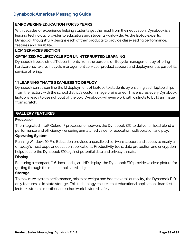#### **EMPOWERING EDUCATION FOR 35 YEARS**

With decades of experience helping students get the most from their education, Dynabook is a leading technology provider to educators and students worldwide. As the laptop experts, Dynabook thoughtfully designs each of their products to provide class-leading performance, features and durability.

#### **LCM SERVICES SECTION**

### **OPTIMIZED PC LIFECYCLE FOR UNINTERRUPTED LEARNING**

Dynabook frees district IT departments from the burdens of lifecycle management by offering hardware, software, lifecycle management services, product support and deployment as part of its service offering.

## **1:1 LEARNING THAT'S SEAMLESS TO DEPLOY**

Dynabook can streamline the 1:1 deployment of laptops to students by ensuring each laptop ships from the factory with the school district's custom image preinstalled. This ensures every Dynabook laptop is ready to use right out of the box. Dynabook will even work with districts to build an image from scratch.

# **GALLERY FEATURES**

#### **Processor**

The integrated Intel® Celeron® processor empowers the Dynabook E10 to deliver an ideal blend of performance and efficiency - ensuring unmatched value for education, collaboration and play.

# **Operating System**

Running Windows 10 Pro Education provides unparalleled software support and access to nearly all of today's most popular education applications. Productivity tools, data protection and encryption helps secure the Dynabook E10 against potential data and privacy threats.

#### **Display**

Featuring a compact, 11.6-inch, anti-glare HD display, the Dynabook E10 provides a clear picture for getting through the most complicated subjects.

#### **Storage**

To maximize system performance, minimize weight and boost overall durability, the Dynabook E10 only features solid state storage. This technology ensures that educational applications load faster, lectures stream smoother and schoolwork is stored safely.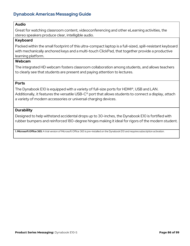## **Audio**

Great for watching classroom content, videoconferencing and other eLearning activities, the stereo speakers produce clear, intelligible audio.

#### **Keyboard**

Packed within the small footprint of this ultra-compact laptop is a full-sized, spill-resistant keyboard with mechanically anchored keys and a multi-touch ClickPad, that together provide a productive learning platform.

# **Webcam**

The integrated HD webcam fosters classroom collaboration among students, and allows teachers to clearly see that students are present and paying attention to lectures.

#### **Ports**

The Dynabook E10 is equipped with a variety of full-size ports for HDMI®, USB and LAN. Additionally, it features the versatile USB-C® port that allows students to connect a display, attach a variety of modern accessories or universal charging devices.

#### **Durability**

Designed to help withstand accidental drops up to 30-inches, the Dynabook E10 is fortified with rubber bumpers and reinforced 180-degree hinges making it ideal for rigors of the modern student.

**1. Microsoft Office 365:** A trial version of Microsoft Office 365 is pre-installed on the Dynabook E10 and requires subscription activation.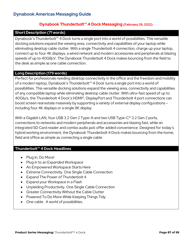## **Dynabook Thunderbolt™ 4 Dock Messaging (February 28, 2022)**

#### **Short Description (71 words)**

Dynabook's Thunderbolt™ 4 Dock turns a single port into a world of possibilities. This versatile docking solutions expand the viewing area, connectivity and capabilities of your laptop while eliminating desktop cable clutter. With a single Thunderbolt 4 connection, charge up your laptop, connect up to four 4K displays, a wired network and modern accessories and peripherals at blazing speeds of up to 40GB/s<sup>1</sup>. The Dynabook Thunderbolt 4 Dock makes bouncing from the field to the desk as simple as one cable connection.

#### **Long Description (179 words)**

Perfect for professionals needing desktop connectivity in the office and the freedom and mobility of a modern laptop, Dynabook's Thunderbolt™ 4 Dock turns a single port into a world of possibilities. This versatile docking solutions expand the viewing area, connectivity and capabilities of any compatible laptop while eliminating desktop cable clutter. With ultra-fast speed of up to 40Gb/s, the Thunderbolt 4 Dock's HDMI®, DisplayPort and Thunderbolt 4 port connections can boost screen real estate massively by supporting a variety of external display configurations – including four 4K displays or a single 8K display.

With a Gigabit LAN, four USB 3.2 Gen 2 Type-A and two USB Type-C<sup>®</sup> 3.2 Gen 2 ports, connections to networks and modern peripherals and accessories are blazing fast, while an integrated SD Card reader and combo audio jack offer added convenience. Designed for today's hybrid working environment, the Dynabook Thunderbolt 4 Dock makes bouncing from the home, field and office as simple as connecting a single cable.

# **Thunderbolt™ 4 Dock Headlines**

- Plug In, Do More!
- Plug in to an Expanded Workspace
- An Empowered Workspace Starts Here
- Extreme Connectivity. One Single Cable Connection
- Expand The Power of Thunderbolt 4
- Expand your Workspace in a Flash
- Unyielding Productivity. One Single Cable Connection
- Greater Connectivity Without the Cable Clutter
- Powered To Do More While Keeping Things Tidy
- One cable. A world of possibilities.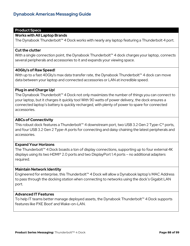# **Product Specs**

#### **Works with All Laptop Brands**

The Dynabook Thunderbolt<sup>™</sup> 4 Dock works with nearly any laptop featuring a Thunderbolt 4 port.

#### **Cut the clutter**

With a single connection point, the Dynabook Thunderbolt™ 4 dock charges your laptop, connects several peripherals and accessories to it and expands your viewing space.

#### **40Gb/s of Raw Speed!**

With up to a fast 40Gb/s max data transfer rate, the Dynabook Thunderbolt<sup>™</sup> 4 dock can move data between your laptop and connected accessories or LAN at incredible speed.

#### **Plug in and Charge Up!**

The Dynabook Thunderbolt™ 4 Dock not only maximizes the number of things you can connect to your laptop, but it charges it quickly too! With 90 watts of power delivery, the dock ensures a connected laptop's battery is quickly recharged, with plenty of power to spare for connected accessories.

#### **ABCs of Connectivity**

This robust dock features a Thunderbolt™ 4 downstream port, two USB 3.2 Gen 2 Type-C® ports, and four USB 3.2 Gen 2 Type-A ports for connecting and daisy chaining the latest peripherals and accessories.

#### **Expand Your Horizons**

The Thunderbolt™ 4 Dock boasts a ton of display connections, supporting up to four external 4K displays using its two HDMI® 2.0 ports and two DisplayPort 1.4 ports – no additional adapters required.

#### **Maintain Network Identity**

Engineered for enterprise, this Thunderbolt™ 4 Dock will allow a Dynabook laptop's MAC Address to pass through the docking station when connecting to networks using the dock's Gigabit LAN port.

#### **Advanced IT Features**

To help IT teams better manage deployed assets, the Dynabook Thunderbolt™ 4 Dock supports features like PXE Boot<sup>1</sup> and Wake-on-LAN.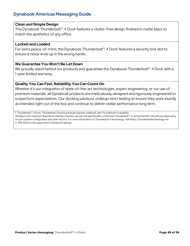#### **Clean and Simple Design**

The Dynabook Thunderbolt™ 4 Dock features a clutter-free design finished in matte black to match the aesthetics of any office.

#### **Locked and Loaded**

For extra peace-of-mind, the Dynabook Thunderbolt™ 4 Dock features a security lock slot to ensure it never ends up in the wrong hands.

#### **We Guarantee You Won't Be Let Down**

We proudly stand behind our products and guarantee the Dynabook Thunderbolt<sup>™</sup> 4 Dock with a 1-year limited warranty.

#### **Quality You Can Feel, Reliability You Can Count On**

Whether it's our integration of state-of-the-art technologies, expert engineering, or our use of premium materials, all Dynabook products are meticulously designed and rigorously engineered to outperform expectations. Our docking solutions undergo strict testing to ensure they work exactly as intended right out of the box and continue to deliver stellar performance long term.

1. Thunderbolt™ 4 Dock. Thunderbolt 4 docking feature requires notebook with Thunderbolt 4 capability.

40Gbps is the maximum theoretical interface transfer rate per the specification of the Intel Thunderbolt™ 4. Actual transfer rate will vary depending on your system configuration and other factors. For more information on Thunderbolt 4 technology, visit https://thunderbolttechnology.net. 2. PXE Boot is only supported on Dynabook laptops.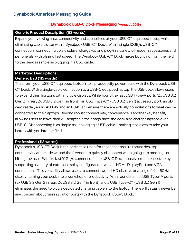# **Dynabook USB-C Dock Messaging (August 1, 2019)**

### **Generic Product Description (63 words)**

Expand your viewing area, connectivity and capabilities of your USB-C™ equipped laptop while eliminating cable clutter with a Dynabook USB-C™ Dock. With a single 10GB/s USB-C™ connection<sup>1</sup>, connect multiple displays, charge-up and plug-in a variety of modern accessories and peripherals, with blazing fast speed. The Dynabook USB-C™ Dock makes bouncing from the field to the desk as simple as plugging in a USB cable.

# **Marketing Descriptions Generic B2B (115 words)**

Transform your USB-C™ equipped laptop into a productivity powerhouse with the Dynabook USB-C<sup>™</sup> Dock. With a single-cable connection to a USB-C equipped laptop, the USB dock allows users to expand their horizons with multiple displays. While four ultra-fast USB Type-A ports (2x USB 3.2 Gen 2 in rear, 2x USB 3.2 Gen 1 in front), an USB Type-C™ (USB 3.2 Gen 1) accessory port, an SD card reader, audio AUX-IN and an RJ45 jack ensure there are virtually no limitations to what can be connected to their laptops. Beyond robust connectivity, convenience is another key benefit, allowing users to leave their AC adapter in their bags since the dock also charges laptops over USB-C. Disconnecting is as simple as unplugging a USB cable – making it painless to take your laptop with you into the field.

# **Professional (118 words)**

Dynabook's USB-C<sup>™</sup> Dock is the perfect solution for those that require robust desktop connectivity at their desks and the freedom to quickly disconnect when going into meetings or hitting the road. With its fast 10Gb/s connection1, the USB-C Dock boosts screen real estate by supporting a variety of external display configurations with its HDMI, DisplayPort and VGA connections. This versatility allows users to connect two full HD displays or a single 4K at 60Hz display, turning your desk into a workshop of productivity. With four ultra-fast USB Type-A ports (2x USB 3.2 Gen 2 in rear, 2x USB 3.2 Gen 1 in front) and a USB Type-C™ (USB 3.2 Gen 1) eliminates the need to plug a dedicated charging cable into the laptop. There will virtually never be any concern about running out of ports with the Dynabook USB-C Dock.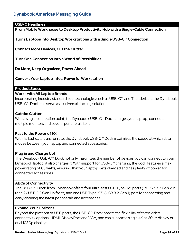#### **USB-C Headlines**

**From Mobile Workhouse to Desktop Productivity Hub with a Single-Cable Connection**

**Turns Laptops into Desktop Workstations with a Single USB-C™ Connection**

**Connect More Devices, Cut the Clutter**

**Turn One Connection Into a World of Possibilities**

**Do More, Keep Organized, Power Ahead**

**Convert Your Laptop into a Powerful Workstation**

#### **Product Specs**

#### **Works with All Laptop Brands**

Incorporating industry standardized technologies such as USB-C™ and Thunderbolt, the Dynabook USB-C™ Dock can serve as a universal docking solution.

#### **Cut the Clutter**

With a single connection point, the Dynabook USB-C™ Dock charges your laptop, connects multiple monitors and several peripherals to it.

#### **Fast to the Power of 10!**

With its fast data transfer rate, the Dynabook USB-C<sup>™</sup> Dock maximizes the speed at which data moves between your laptop and connected accessories.

#### **Plug in and Charge Up!**

The Dynabook USB-C™ Dock not only maximizes the number of devices you can connect to your Dynabook laptop, it also charges it! With support for USB-C™ charging, the dock features a max power rating of 65 watts, ensuring that your laptop gets charged and has plenty of power for connected accessories.

#### **ABCs of Connectivity**

The USB-C™ Dock from Dynabook offers four ultra-fast USB Type-A™ ports (2x USB 3.2 Gen 2 in rear, 2x USB 3.2 Gen 1 in front) and one USB Type-C™ (USB 3.2 Gen 1) port for connecting and daisy chaining the latest peripherals and accessories

#### **Expand Your Horizons**

Beyond the plethora of USB ports, the USB-C™ Dock boasts the flexibility of three video connectivity options: HDMI, DisplayPort and VGA, and can support a single 4K at 60Hz display or dual 1080p displays.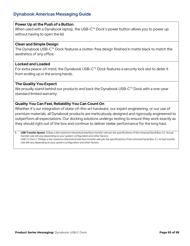### **Power Up at the Push of a Button**

When used with a Dynabook laptop, the USB-C<sup>™</sup> Dock's power button allows you to power up without having to open the lid.

#### **Clean and Simple Design**

The Dynabook USB-C™ Dock features a clutter-free design finished in matte black to match the aesthetics of any office.

#### **Locked and Loaded**

For extra peace-of-mind, the Dynabook USB-C™ Dock features a security lock slot to deter it from ending up in the wrong hands.

#### **The Quality You Expect**

We proudly stand behind our products and back the Dynabook USB-C<sup>™</sup> Dock with a one-year standard limited warranty.

#### **Quality You Can Feel, Reliability You Can Count On**

Whether it's our integration of state-of-the-art hardware, our expert engineering, or our use of premium materials, all Dynabook products are meticulously designed and rigorously engineered to outperform all expectations. Our docking solutions undergo testing to ensure they work exactly as they should right out of the box and continue to deliver stellar performance for the long haul.

**1. USB Transfer Speed.** 5Gbps is the maximum theoretical interface transfer rate per the specifications of the Universal Serial Bus 3.0. Actual transfer rate will vary depending on your system configuration and other factors. USB 3.2 Gen 2. 10Gbps is the maximum theoretical interface transfer rate per the specifications of the Universal Serial Bus 3.2. Actual transfer rate will vary depending on your system configuration and other factors.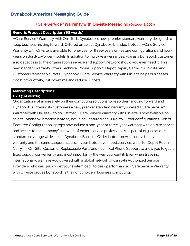# **+Care Service® Warranty with On-site Messaging (October 5, 2021)**

#### **Generic Product Description (98 words)**

+Care Service<sup>®</sup> Warranty<sup>1</sup> with On-site is Dynabook's new, premier standard warranty designed to keep business moving forward. Offered on select Dynabook-branded laptops, +Care Service Warranty with On-site is available for one-year or three-years on feature configurations and fouryears on Build-to-Order models. In addition to multi-year warranties, you as a Dynabook customer also get access to the organization's service and support network should you ever need it. This new standard warranty offers Technical Phone Support, Depot Repair, Carry-In, On-Site, and Customer Replaceable Parts. Dynabook +Care Service Warranty with On-site helps businesses boost productivity, cut downtime and reduce IT costs.

#### **Marketing Descriptions B2B (94 words)**

Organizations of all sizes rely on their computing solutions to keep them moving forward and Dynabook is offering its customers a new, premier standard warranty – called +Care Service® Warranty<sup>1</sup> with On-site – to do just that. +Care Service Warranty with On-site is now available on select Dynabook-branded laptops, including Featured and Build-to-Order configurations. Select Featured Configuration laptops now include a one-year or three-year warranty with on-site service and access to the company's network of expert service professionals as part of organization's standard coverage while select Dynabook Build-to-Order laptops now include a four-year warranty and the same support access. If your laptop ever needs service, we offer Depot Repair, Carry-In, On-Site, Customer Replaceable Parts and Technical Phone Support to allow you to get it fixed quickly, conveniently and most importantly the way you want it. Even when traveling internationally, we have you covered with a global network of Carry-In Authorized Service Providers, who can quickly get your system back to peak performance. +Care Service Warranty with On-site proves Dynabook is the right choice in business computing.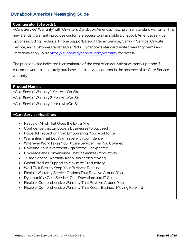### **Configurator (51 words):**

+Care Service® Warranty<sup>1</sup> with On-site is Dynabook Americas' new, premier standard warranty. This new standard warranty provides customers access to all available Dynabook Americas service options including Technical Phone Support, Depot Repair Service, Carry-In Service, On-Site Service, and Customer Replaceable Parts. Dynabook's standard limited warranty terms and limitations apply. Visit<https://support.dynabook.com/warranty> for details.

The price or value indicated is an estimate of the cost of an equivalent warranty upgrade if customer were to separately purchase it as a service contract in the absence of a +Care Service warranty.

#### **Product Names:**

+Care Service®Warranty 1-Year with On-Site

+Care Service®Warranty 3-Year with On-Site

+Care Service®Warranty 4-Year with On-Site

#### **+Care Service Headlines**

- Peace of Mind That Goes the Extra Mile
- Confidence that Empowers Businesses to Succeed
- Powerful Protection from Empowering Your Workforce
- Warranties That Let You Travel with Confidence
- Wherever Work Takes You, +Care Service® Has You Covered
- Covering Your Investment Against the Unexpected
- Coverage and Convenience That Maximizes Productivity
- + Care Service<sup>®</sup> Warranty Keep Businesses Moving
- Global Product Support to Maximize Productivity
- We'll Fix it Fast to Keep Your Business Running
- Flexible Warranty Service Options That Revolve Around You
- Dynabook's +Care Service® Cuts Downtime and IT Costs
- Flexible, Comprehensive Warranty That Revolve Around You
- Flexible, Comprehensive Warranty That Keeps Business Moving Forward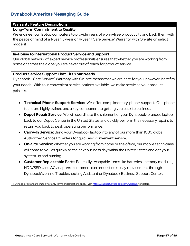## **Warranty Feature Descriptions**

### **Long-Term Commitment to Quality**

We engineer our laptop computers to provide years of worry-free productivity and back them with the peace of mind of a 1-year, 3-year or 4-year +Care Service® Warranty<sup>1</sup> with On-site on select models!

#### **In-House to International Product Service and Support**

Our global network of expert service professionals ensures that whether you are working from home or across the globe you are never out of reach for product service.

#### **Product Service Support That Fits Your Needs**

Dynabook +Care Service® Warranty with On-site means that we are here for you, however, best fits your needs. With four convenient service options available, we make servicing your product painless.

- **Technical Phone Support Service:** We offer complimentary phone support. Our phone techs are highly trained and a key component to getting you back to business.
- **Depot Repair Service:** We will coordinate the shipment of your Dynabook-branded laptop back to our Depot Center in the United States and quickly perform the necessary repairs to return you back to peak operating performance.
- **Carry-In Service:** Bring your Dynabook laptop into any of our more than 1000 global Authorized Service Providers for quick and convenient service.
- **On-Site Service:** Whether you are working from home or the office, our mobile technicians will come to you as quickly as the next business day within the United States and get your system up and running.
- **Customer Replaceable Parts:** For easily swappable items like batteries, memory modules, HDD/SSDs and AC adapters, customers can request next-day replacement through Dynabook's online Troubleshooting Assistant or Dynabook Business Support Center.

1. Dynabook's standard limited warranty terms and limitations apply. Visi[t https://support.dynabook.com/warranty](https://support.dynabook.com/warranty) for details.